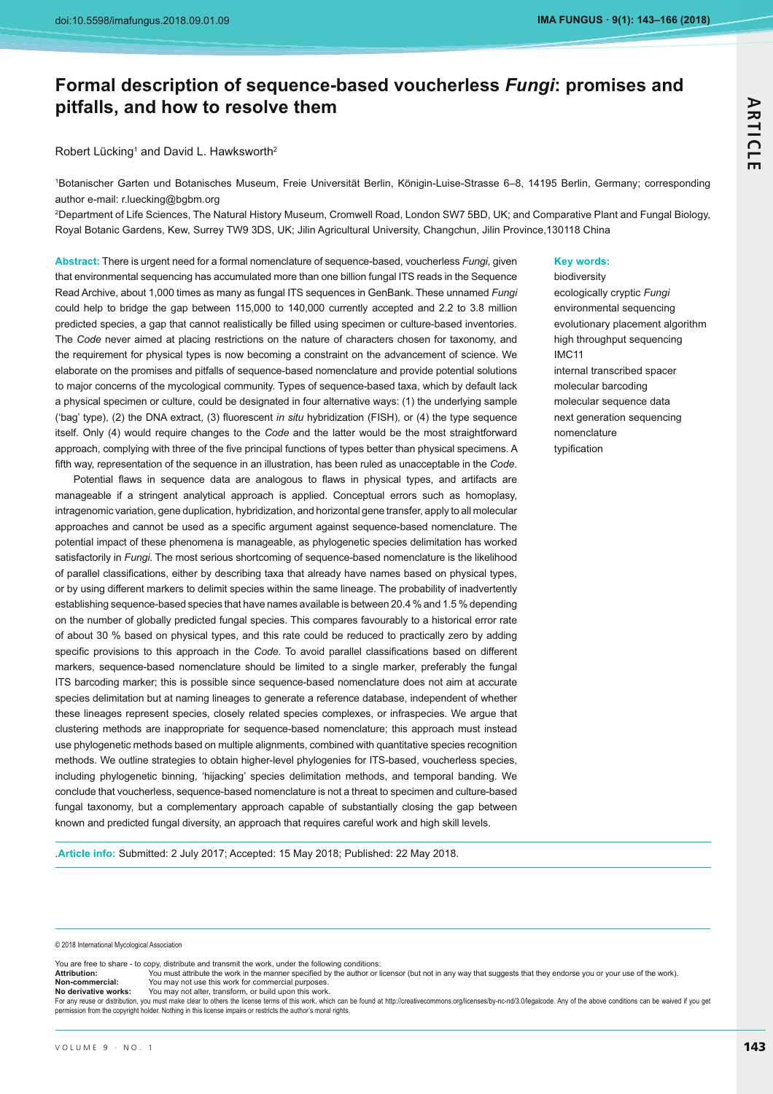# **Formal description of sequence-based voucherless** *Fungi***: promises and pitfalls, and how to resolve them**

Robert Lücking<sup>1</sup> and David L. Hawksworth<sup>2</sup>

1 Botanischer Garten und Botanisches Museum, Freie Universität Berlin, Königin-Luise-Strasse 6–8, 14195 Berlin, Germany; corresponding author e-mail: r.luecking@bgbm.org

2 Department of Life Sciences, The Natural History Museum, Cromwell Road, London SW7 5BD, UK; and Comparative Plant and Fungal Biology, Royal Botanic Gardens, Kew, Surrey TW9 3DS, UK; Jilin Agricultural University, Changchun, Jilin Province,130118 China

**Abstract:** There is urgent need for a formal nomenclature of sequence-based, voucherless *Fungi*, given that environmental sequencing has accumulated more than one billion fungal ITS reads in the Sequence Read Archive, about 1,000 times as many as fungal ITS sequences in GenBank. These unnamed *Fungi* could help to bridge the gap between 115,000 to 140,000 currently accepted and 2.2 to 3.8 million predicted species, a gap that cannot realistically be filled using specimen or culture-based inventories. The *Code* never aimed at placing restrictions on the nature of characters chosen for taxonomy, and the requirement for physical types is now becoming a constraint on the advancement of science. We elaborate on the promises and pitfalls of sequence-based nomenclature and provide potential solutions to major concerns of the mycological community. Types of sequence-based taxa, which by default lack a physical specimen or culture, could be designated in four alternative ways: (1) the underlying sample ('bag' type), (2) the DNA extract, (3) fluorescent *in situ* hybridization (FISH), or (4) the type sequence itself. Only (4) would require changes to the *Code* and the latter would be the most straightforward approach, complying with three of the five principal functions of types better than physical specimens. A fifth way, representation of the sequence in an illustration, has been ruled as unacceptable in the Code.

Potential flaws in sequence data are analogous to flaws in physical types, and artifacts are manageable if a stringent analytical approach is applied. Conceptual errors such as homoplasy, intragenomic variation, gene duplication, hybridization, and horizontal gene transfer, apply to all molecular approaches and cannot be used as a specific argument against sequence-based nomenclature. The potential impact of these phenomena is manageable, as phylogenetic species delimitation has worked satisfactorily in *Fungi*. The most serious shortcoming of sequence-based nomenclature is the likelihood of parallel classifications, either by describing taxa that already have names based on physical types, or by using different markers to delimit species within the same lineage. The probability of inadvertently establishing sequence-based species that have names available is between 20.4 % and 1.5 % depending on the number of globally predicted fungal species. This compares favourably to a historical error rate of about 30 % based on physical types, and this rate could be reduced to practically zero by adding specific provisions to this approach in the Code. To avoid parallel classifications based on different markers, sequence-based nomenclature should be limited to a single marker, preferably the fungal ITS barcoding marker; this is possible since sequence-based nomenclature does not aim at accurate species delimitation but at naming lineages to generate a reference database, independent of whether these lineages represent species, closely related species complexes, or infraspecies. We argue that clustering methods are inappropriate for sequence-based nomenclature; this approach must instead use phylogenetic methods based on multiple alignments, combined with quantitative species recognition methods. We outline strategies to obtain higher-level phylogenies for ITS-based, voucherless species, including phylogenetic binning, 'hijacking' species delimitation methods, and temporal banding. We conclude that voucherless, sequence-based nomenclature is not a threat to specimen and culture-based fungal taxonomy, but a complementary approach capable of substantially closing the gap between known and predicted fungal diversity, an approach that requires careful work and high skill levels.

**Key words:** 

biodiversity ecologically cryptic *Fungi* environmental sequencing evolutionary placement algorithm high throughput sequencing IMC11 internal transcribed spacer molecular barcoding molecular sequence data next generation sequencing nomenclature typification

.**Article info:** Submitted: 2 July 2017; Accepted: 15 May 2018; Published: 22 May 2018.

© 2018 International Mycological Association

You are free to share - to copy, distribute and transmit the work, under the following conditions: **Attribution:**-You must attribute the work in the manner specified by the author or licensor (but not in any way that suggests that they endorse you or your use of the work).

**Non-commercial:**-Non-commercial:<br>No derivative works: You may not use this work for commercial purposes.

You may not alter, transform, or build upon this work.

-<br>For any reuse or distribution, you must make clear to others the license terms of this work, which can be found at http://creativecommons.org/licenses/by-nc-nd/3.0/legalcode. Any of the above conditions can be waived if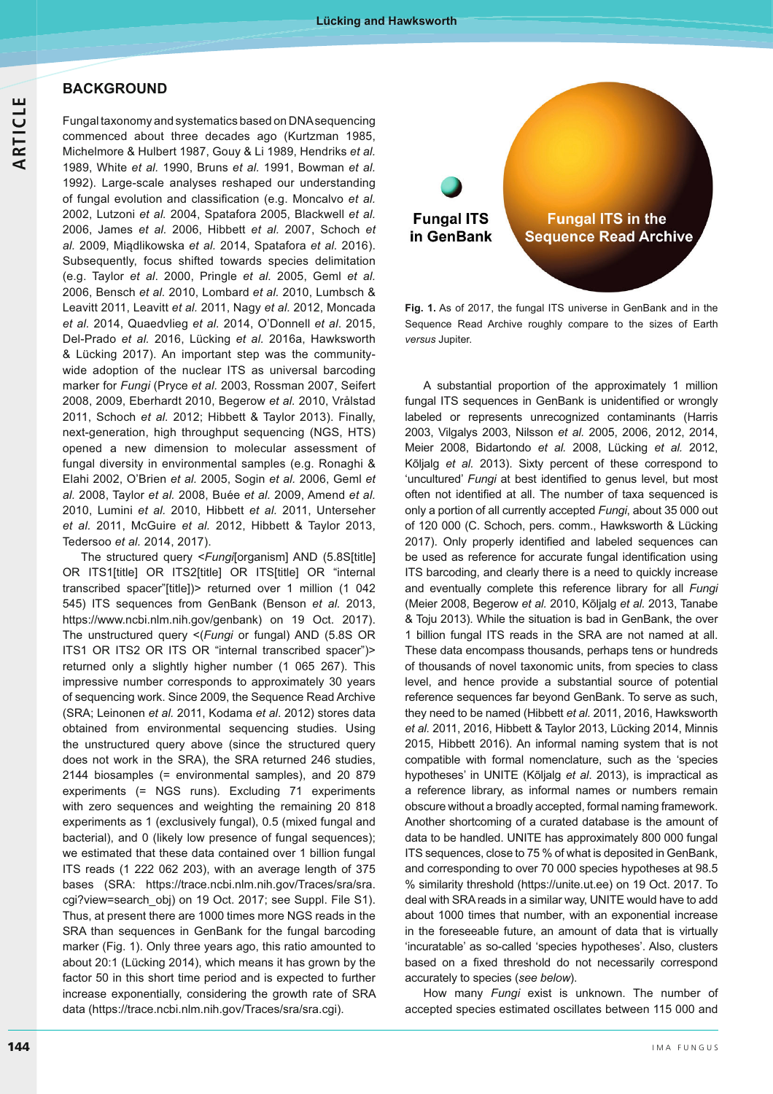**BACKGROUND** 

Fungal taxonomy and systematics based on DNA sequencing commenced about three decades ago (Kurtzman 1985, Michelmore & Hulbert 1987, Gouy & Li 1989, Hendriks *et al.* 1989, White *et al.* 1990, Bruns *et al.* 1991, Bowman *et al.* 1992). Large-scale analyses reshaped our understanding of fungal evolution and classification (e.g. Moncalvo et al. 2002, Lutzoni *et al.* 2004, Spatafora 2005, Blackwell *et al.* 2006, James *et al.* 2006, Hibbett *et al.* 2007, Schoch *et al.* 2009, Miądlikowska *et al.* 2014, Spatafora *et al.* 2016). Subsequently, focus shifted towards species delimitation (e.g. Taylor *et al*. 2000, Pringle *et al.* 2005, Geml *et al.* 2006, Bensch *et al.* 2010, Lombard *et al.* 2010, Lumbsch & Leavitt 2011, Leavitt *et al.* 2011, Nagy *et al.* 2012, Moncada *et al.* 2014, Quaedvlieg *et al.* 2014, O'Donnell *et al*. 2015, Del-Prado *et al.* 2016, Lücking *et al.* 2016a, Hawksworth & Lücking 2017). An important step was the communitywide adoption of the nuclear ITS as universal barcoding marker for *Fungi* (Pryce *et al.* 2003, Rossman 2007, Seifert 2008, 2009, Eberhardt 2010, Begerow *et al.* 2010, Vrålstad 2011, Schoch *et al.* 2012; Hibbett & Taylor 2013). Finally, next-generation, high throughput sequencing (NGS, HTS) opened a new dimension to molecular assessment of fungal diversity in environmental samples (e.g. Ronaghi & Elahi 2002, O'Brien *et al.* 2005, Sogin *et al.* 2006, Geml *et al.* 2008, Taylor *et al.* 2008, Buée *et al.* 2009, Amend *et al.* 2010, Lumini *et al.* 2010, Hibbett *et al.* 2011, Unterseher *et al.* 2011, McGuire *et al.* 2012, Hibbett & Taylor 2013, Tedersoo *et al.* 2014, 2017).

 The structured query <*Fungi*[organism] AND (5.8S[title] OR ITS1[title] OR ITS2[title] OR ITS[title] OR "internal transcribed spacer"[title])> returned over 1 million (1 042 545) ITS sequences from GenBank (Benson *et al.* 2013, https://www.ncbi.nlm.nih.gov/genbank) on 19 Oct. 2017). The unstructured query <(*Fungi* or fungal) AND (5.8S OR ITS1 OR ITS2 OR ITS OR "internal transcribed spacer")> returned only a slightly higher number (1 065 267). This impressive number corresponds to approximately 30 years of sequencing work. Since 2009, the Sequence Read Archive (SRA; Leinonen *et al.* 2011, Kodama *et al*. 2012) stores data obtained from environmental sequencing studies. Using the unstructured query above (since the structured query does not work in the SRA), the SRA returned 246 studies, 2144 biosamples (= environmental samples), and 20 879 experiments (= NGS runs). Excluding 71 experiments with zero sequences and weighting the remaining 20 818 experiments as 1 (exclusively fungal), 0.5 (mixed fungal and bacterial), and 0 (likely low presence of fungal sequences); we estimated that these data contained over 1 billion fungal ITS reads (1 222 062 203), with an average length of 375 bases (SRA: https://trace.ncbi.nlm.nih.gov/Traces/sra/sra. cgi?view=search\_obj) on 19 Oct. 2017; see Suppl. File S1). Thus, at present there are 1000 times more NGS reads in the SRA than sequences in GenBank for the fungal barcoding marker (Fig. 1). Only three years ago, this ratio amounted to about 20:1 (Lücking 2014), which means it has grown by the factor 50 in this short time period and is expected to further increase exponentially, considering the growth rate of SRA data (https://trace.ncbi.nlm.nih.gov/Traces/sra/sra.cgi).



**Fig. 1.** As of 2017, the fungal ITS universe in GenBank and in the Sequence Read Archive roughly compare to the sizes of Earth *versus* Jupiter.

A substantial proportion of the approximately 1 million fungal ITS sequences in GenBank is unidentified or wrongly labeled or represents unrecognized contaminants (Harris 2003, Vilgalys 2003, Nilsson *et al.* 2005, 2006, 2012, 2014, Meier 2008, Bidartondo *et al.* 2008, Lücking *et al.* 2012, Kõljalg *et al.* 2013). Sixty percent of these correspond to 'uncultured' Fungi at best identified to genus level, but most often not identified at all. The number of taxa sequenced is only a portion of all currently accepted *Fungi*, about 35 000 out of 120 000 (C. Schoch, pers. comm., Hawksworth & Lücking 2017). Only properly identified and labeled sequences can be used as reference for accurate fungal identification using ITS barcoding, and clearly there is a need to quickly increase and eventually complete this reference library for all *Fungi* (Meier 2008, Begerow *et al.* 2010, Kõljalg *et al.* 2013, Tanabe & Toju 2013). While the situation is bad in GenBank, the over 1 billion fungal ITS reads in the SRA are not named at all. These data encompass thousands, perhaps tens or hundreds of thousands of novel taxonomic units, from species to class level, and hence provide a substantial source of potential reference sequences far beyond GenBank. To serve as such, they need to be named (Hibbett *et al.* 2011, 2016, Hawksworth *et al.* 2011, 2016, Hibbett & Taylor 2013, Lücking 2014, Minnis 2015, Hibbett 2016). An informal naming system that is not compatible with formal nomenclature, such as the 'species hypotheses' in UNITE (Kõljalg *et al*. 2013), is impractical as a reference library, as informal names or numbers remain obscure without a broadly accepted, formal naming framework. Another shortcoming of a curated database is the amount of data to be handled. UNITE has approximately 800 000 fungal ITS sequences, close to 75 % of what is deposited in GenBank, and corresponding to over 70 000 species hypotheses at 98.5 % similarity threshold (https://unite.ut.ee) on 19 Oct. 2017. To deal with SRA reads in a similar way, UNITE would have to add about 1000 times that number, with an exponential increase in the foreseeable future, an amount of data that is virtually 'incuratable' as so-called 'species hypotheses'. Also, clusters based on a fixed threshold do not necessarily correspond accurately to species (*see below*).

How many *Fungi* exist is unknown. The number of accepted species estimated oscillates between 115 000 and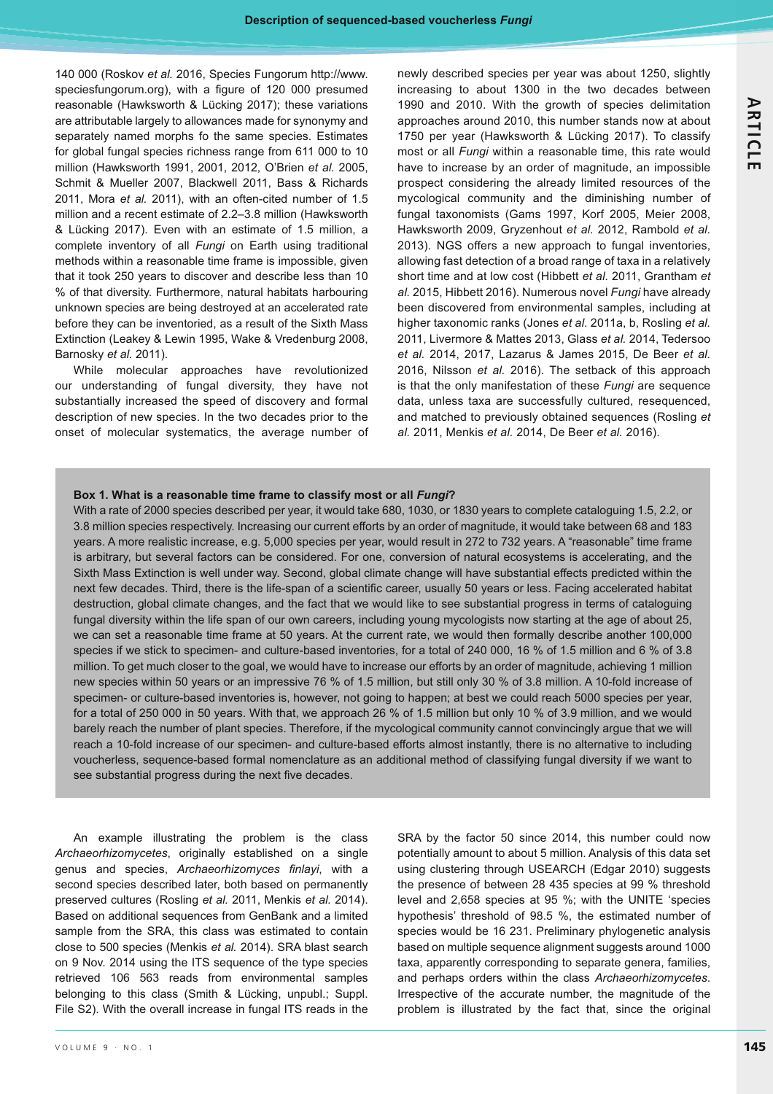140 000 (Roskov *et al.* 2016, Species Fungorum http://www. speciesfungorum.org), with a figure of 120 000 presumed reasonable (Hawksworth & Lücking 2017); these variations are attributable largely to allowances made for synonymy and separately named morphs fo the same species. Estimates for global fungal species richness range from 611 000 to 10 million (Hawksworth 1991, 2001, 2012, O'Brien *et al.* 2005, Schmit & Mueller 2007, Blackwell 2011, Bass & Richards 2011, Mora *et al.* 2011), with an often-cited number of 1.5 million and a recent estimate of 2.2–3.8 million (Hawksworth & Lücking 2017). Even with an estimate of 1.5 million, a complete inventory of all *Fungi* on Earth using traditional methods within a reasonable time frame is impossible, given that it took 250 years to discover and describe less than 10 % of that diversity. Furthermore, natural habitats harbouring unknown species are being destroyed at an accelerated rate before they can be inventoried, as a result of the Sixth Mass Extinction (Leakey & Lewin 1995, Wake & Vredenburg 2008, Barnosky *et al.* 2011).

While molecular approaches have revolutionized our understanding of fungal diversity, they have not substantially increased the speed of discovery and formal description of new species. In the two decades prior to the onset of molecular systematics, the average number of newly described species per year was about 1250, slightly increasing to about 1300 in the two decades between 1990 and 2010. With the growth of species delimitation approaches around 2010, this number stands now at about 1750 per year (Hawksworth & Lücking 2017). To classify most or all *Fungi* within a reasonable time, this rate would have to increase by an order of magnitude, an impossible prospect considering the already limited resources of the mycological community and the diminishing number of fungal taxonomists (Gams 1997, Korf 2005, Meier 2008, Hawksworth 2009, Gryzenhout *et al.* 2012, Rambold *et al.* 2013). NGS offers a new approach to fungal inventories, allowing fast detection of a broad range of taxa in a relatively short time and at low cost (Hibbett *et al.* 2011, Grantham *et al.* 2015, Hibbett 2016). Numerous novel *Fungi* have already been discovered from environmental samples, including at higher taxonomic ranks (Jones *et al.* 2011a, b, Rosling *et al.* 2011, Livermore & Mattes 2013, Glass *et al.* 2014, Tedersoo *et al.* 2014, 2017, Lazarus & James 2015, De Beer *et al.* 2016, Nilsson *et al.* 2016). The setback of this approach is that the only manifestation of these *Fungi* are sequence data, unless taxa are successfully cultured, resequenced, and matched to previously obtained sequences (Rosling *et al.* 2011, Menkis *et al.* 2014, De Beer *et al.* 2016).

#### Box 1. What is a reasonable time frame to classify most or all *Fungi*?

With a rate of 2000 species described per year, it would take 680, 1030, or 1830 years to complete cataloguing 1.5, 2.2, or 3.8 million species respectively. Increasing our current efforts by an order of magnitude, it would take between 68 and 183 years. A more realistic increase, e.g. 5,000 species per year, would result in 272 to 732 years. A "reasonable" time frame is arbitrary, but several factors can be considered. For one, conversion of natural ecosystems is accelerating, and the Sixth Mass Extinction is well under way. Second, global climate change will have substantial effects predicted within the next few decades. Third, there is the life-span of a scientific career, usually 50 years or less. Facing accelerated habitat destruction, global climate changes, and the fact that we would like to see substantial progress in terms of cataloguing fungal diversity within the life span of our own careers, including young mycologists now starting at the age of about 25, we can set a reasonable time frame at 50 years. At the current rate, we would then formally describe another 100,000 species if we stick to specimen- and culture-based inventories, for a total of 240 000, 16 % of 1.5 million and 6 % of 3.8 million. To get much closer to the goal, we would have to increase our efforts by an order of magnitude, achieving 1 million new species within 50 years or an impressive 76 % of 1.5 million, but still only 30 % of 3.8 million. A 10-fold increase of specimen- or culture-based inventories is, however, not going to happen; at best we could reach 5000 species per year, for a total of 250 000 in 50 years. With that, we approach 26 % of 1.5 million but only 10 % of 3.9 million, and we would barely reach the number of plant species. Therefore, if the mycological community cannot convincingly argue that we will reach a 10-fold increase of our specimen- and culture-based efforts almost instantly, there is no alternative to including voucherless, sequence-based formal nomenclature as an additional method of classifying fungal diversity if we want to see substantial progress during the next five decades.

An example illustrating the problem is the class *Archaeorhizomycetes*, originally established on a single genus and species, Archaeorhizomyces finlayi, with a second species described later, both based on permanently preserved cultures (Rosling *et al.* 2011, Menkis *et al.* 2014). Based on additional sequences from GenBank and a limited sample from the SRA, this class was estimated to contain close to 500 species (Menkis *et al.* 2014). SRA blast search on 9 Nov. 2014 using the ITS sequence of the type species retrieved 106 563 reads from environmental samples belonging to this class (Smith & Lücking, unpubl.; Suppl. File S2). With the overall increase in fungal ITS reads in the SRA by the factor 50 since 2014, this number could now potentially amount to about 5 million. Analysis of this data set using clustering through USEARCH (Edgar 2010) suggests the presence of between 28 435 species at 99 % threshold level and 2,658 species at 95 %; with the UNITE 'species hypothesis' threshold of 98.5 %, the estimated number of species would be 16 231. Preliminary phylogenetic analysis based on multiple sequence alignment suggests around 1000 taxa, apparently corresponding to separate genera, families, and perhaps orders within the class *Archaeorhizomycetes*. Irrespective of the accurate number, the magnitude of the problem is illustrated by the fact that, since the original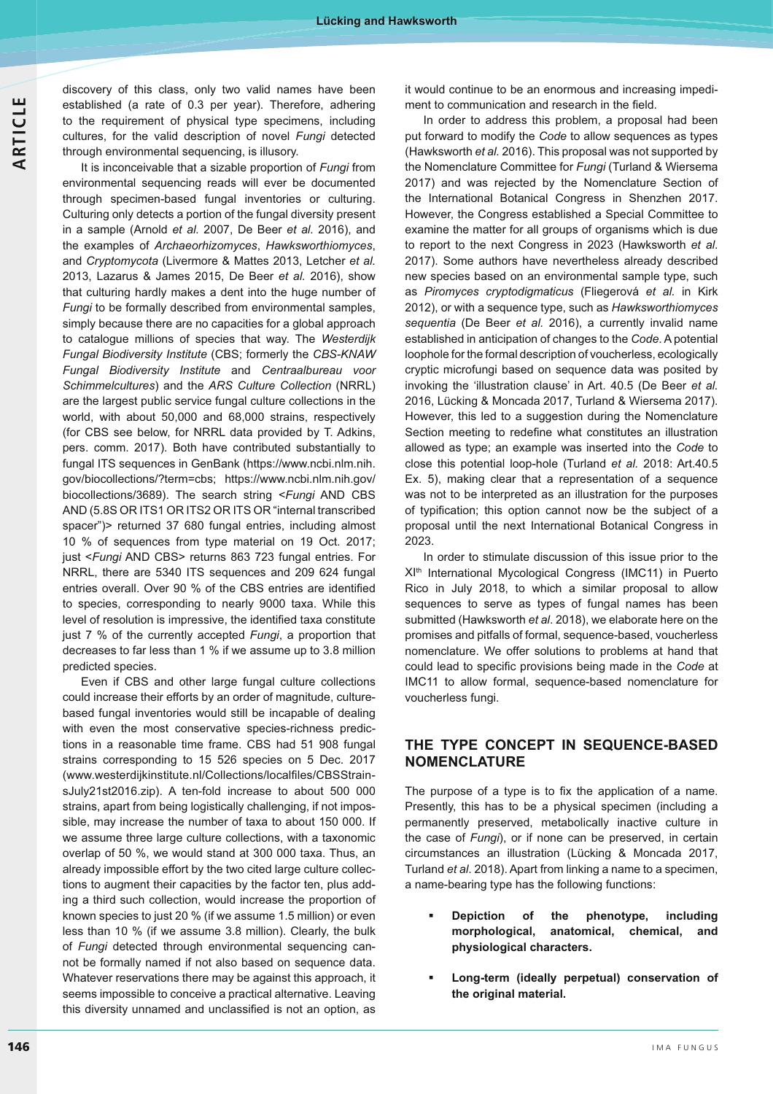discovery of this class, only two valid names have been established (a rate of 0.3 per year). Therefore, adhering to the requirement of physical type specimens, including cultures, for the valid description of novel *Fungi* detected through environmental sequencing, is illusory.

It is inconceivable that a sizable proportion of *Fungi* from environmental sequencing reads will ever be documented through specimen-based fungal inventories or culturing. Culturing only detects a portion of the fungal diversity present in a sample (Arnold *et al.* 2007, De Beer *et al.* 2016), and the examples of *Archaeorhizomyces*, *Hawksworthiomyces*, and *Cryptomycota* (Livermore & Mattes 2013, Letcher *et al.* 2013, Lazarus & James 2015, De Beer *et al.* 2016), show that culturing hardly makes a dent into the huge number of *Fungi* to be formally described from environmental samples, simply because there are no capacities for a global approach to catalogue millions of species that way. The *Westerdijk*  **Fungal Biodiversity Institute (CBS; formerly the CBS-KNAW Fungal Biodiversity Institute and Centraalbureau voor** *Schimmelcultures*) and the *ARS Culture Collection* (NRRL) are the largest public service fungal culture collections in the world, with about 50,000 and 68,000 strains, respectively (for CBS see below, for NRRL data provided by T. Adkins, pers. comm. 2017). Both have contributed substantially to fungal ITS sequences in GenBank (https://www.ncbi.nlm.nih. gov/biocollections/?term=cbs; https://www.ncbi.nlm.nih.gov/ biocollections/3689). The search string <*Fungi* AND CBS AND (5.8S OR ITS1 OR ITS2 OR ITS OR "internal transcribed spacer")> returned 37 680 fungal entries, including almost 10 % of sequences from type material on 19 Oct. 2017; just <*Fungi* AND CBS> returns 863 723 fungal entries. For NRRL, there are 5340 ITS sequences and 209 624 fungal entries overall. Over 90 % of the CBS entries are identified to species, corresponding to nearly 9000 taxa. While this level of resolution is impressive, the identified taxa constitute just 7 % of the currently accepted *Fungi*, a proportion that decreases to far less than 1 % if we assume up to 3.8 million predicted species.

Even if CBS and other large fungal culture collections could increase their efforts by an order of magnitude, culturebased fungal inventories would still be incapable of dealing with even the most conservative species-richness predictions in a reasonable time frame. CBS had 51 908 fungal strains corresponding to 15 526 species on 5 Dec. 2017 (www.westerdijkinstitute.nl/Collections/localfiles/CBSStrainsJuly21st2016.zip). A ten-fold increase to about 500 000 strains, apart from being logistically challenging, if not impossible, may increase the number of taxa to about 150 000. If we assume three large culture collections, with a taxonomic overlap of 50 %, we would stand at 300 000 taxa. Thus, an already impossible effort by the two cited large culture collections to augment their capacities by the factor ten, plus adding a third such collection, would increase the proportion of known species to just 20 % (if we assume 1.5 million) or even less than 10 % (if we assume 3.8 million). Clearly, the bulk of *Fungi* detected through environmental sequencing cannot be formally named if not also based on sequence data. Whatever reservations there may be against this approach, it seems impossible to conceive a practical alternative. Leaving this diversity unnamed and unclassified is not an option, as it would continue to be an enormous and increasing impedi ment to communication and research in the field.

In order to address this problem, a proposal had been put forward to modify the *Code* to allow sequences as types (Hawksworth *et al.* 2016). This proposal was not supported by the Nomenclature Committee for *Fungi* (Turland & Wiersema 2017) and was rejected by the Nomenclature Section of the International Botanical Congress in Shenzhen 2017. However, the Congress established a Special Committee to examine the matter for all groups of organisms which is due to report to the next Congress in 2023 (Hawksworth *et al*. 2017). Some authors have nevertheless already described new species based on an environmental sample type, such as Piromyces cryptodigmaticus (Fliegerová et al. in Kirk 2012), or with a sequence type, such as *Hawksworthiomyces sequentia* (De Beer *et al.* 2016), a currently invalid name established in anticipation of changes to the *Code*. A potential loophole for the formal description of voucherless, ecologically cryptic microfungi based on sequence data was posited by invoking the 'illustration clause' in Art. 40.5 (De Beer *et al.* 2016, Lücking & Moncada 2017, Turland & Wiersema 2017). However, this led to a suggestion during the Nomenclature Section meeting to redefine what constitutes an illustration allowed as type; an example was inserted into the *Code* to close this potential loop-hole (Turland *et al.* 2018: Art.40.5 Ex. 5), making clear that a representation of a sequence was not to be interpreted as an illustration for the purposes of typification; this option cannot now be the subject of a proposal until the next International Botanical Congress in 2023.

In order to stimulate discussion of this issue prior to the XIth International Mycological Congress (IMC11) in Puerto Rico in July 2018, to which a similar proposal to allow sequences to serve as types of fungal names has been submitted (Hawksworth *et al*. 2018), we elaborate here on the promises and pitfalls of formal, sequence-based, voucherless nomenclature. We offer solutions to problems at hand that could lead to specific provisions being made in the Code at IMC11 to allow formal, sequence-based nomenclature for voucherless fungi.

## **THE TYPE CONCEPT IN SEQUENCE-BASED NOMENCLATURE**

The purpose of a type is to fix the application of a name. Presently, this has to be a physical specimen (including a permanently preserved, metabolically inactive culture in the case of *Fungi*), or if none can be preserved, in certain circumstances an illustration (Lücking & Moncada 2017, Turland *et al*. 2018). Apart from linking a name to a specimen, a name-bearing type has the following functions:

- - **Depiction of the phenotype, including morphological, anatomical, chemical, and physiological characters.**
- - **Long-term (ideally perpetual) conservation of the original material.**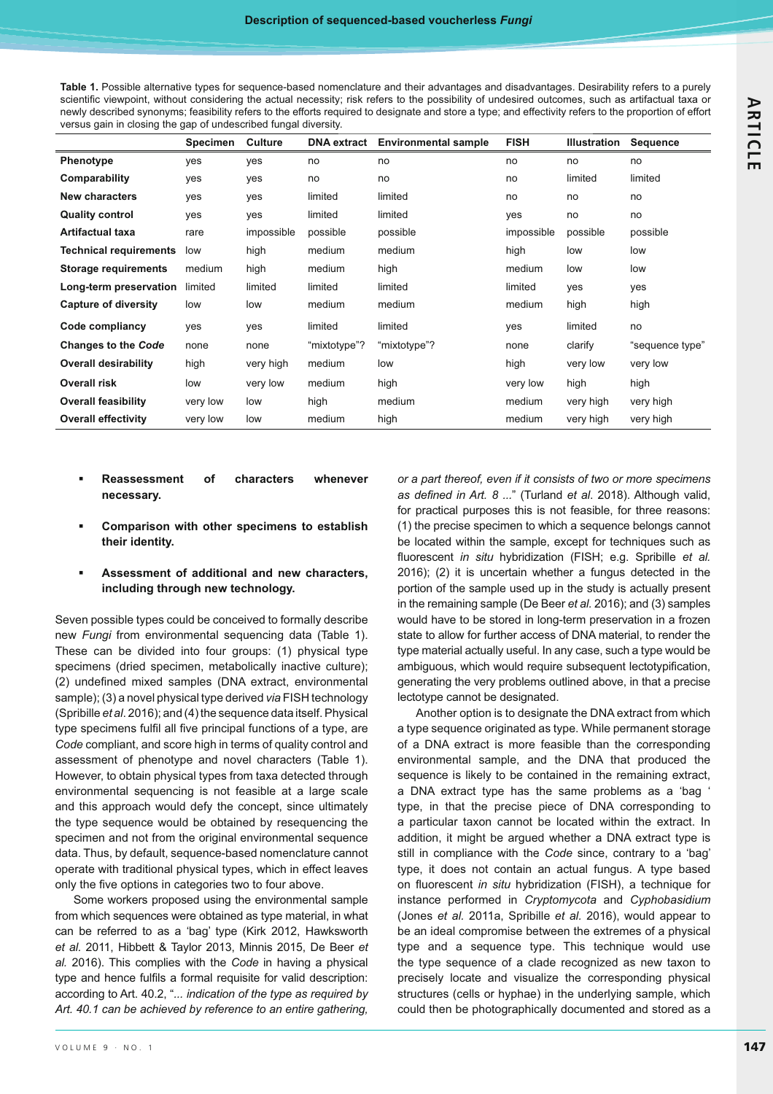Table 1. Possible alternative types for sequence-based nomenclature and their advantages and disadvantages. Desirability refers to a purely scientific viewpoint, without considering the actual necessity; risk refers to the possibility of undesired outcomes, such as artifactual taxa or newly described synonyms; feasibility refers to the efforts required to designate and store a type; and effectivity refers to the proportion of effort versus gain in closing the gap of undescribed fungal diversity.

| <b>Specimen</b> | <b>Culture</b> | <b>DNA</b> extract | <b>Environmental sample</b> | <b>FISH</b> | <b>Illustration</b> | <b>Sequence</b> |
|-----------------|----------------|--------------------|-----------------------------|-------------|---------------------|-----------------|
| ves             | yes            | no                 | no                          | no          | no                  | no              |
| yes             | yes            | no                 | no                          | no          | limited             | limited         |
| ves             | yes            | limited            | limited                     | no          | no                  | no              |
| yes             | yes            | limited            | limited                     | yes         | no                  | no              |
| rare            | impossible     | possible           | possible                    | impossible  | possible            | possible        |
| low             | high           | medium             | medium                      | high        | low                 | low             |
| medium          | high           | medium             | high                        | medium      | low                 | low             |
| limited         | limited        | limited            | limited                     | limited     | yes                 | yes             |
| low             | low            | medium             | medium                      | medium      | high                | high            |
| yes             | yes            | limited            | limited                     | yes         | limited             | no              |
| none            | none           | "mixtotype"?       | "mixtotype"?                | none        | clarify             | "sequence type" |
| high            | very high      | medium             | low                         | high        | very low            | very low        |
| low             | very low       | medium             | high                        | very low    | high                | high            |
| very low        | low            | high               | medium                      | medium      | very high           | very high       |
| very low        | low            | medium             | high                        | medium      | very high           | very high       |
|                 |                |                    |                             |             |                     |                 |

- - **Reassessment of characters whenever necessary.**
- - **Comparison with other specimens to establish their identity.**

#### - **Assessment of additional and new characters, including through new technology.**

Seven possible types could be conceived to formally describe new *Fungi* from environmental sequencing data (Table 1). These can be divided into four groups: (1) physical type specimens (dried specimen, metabolically inactive culture); (2) undefined mixed samples (DNA extract, environmental sample); (3) a novel physical type derived *via* FISH technology (Spribille *et al*. 2016); and (4) the sequence data itself. Physical type specimens fulfil all five principal functions of a type, are *Code* compliant, and score high in terms of quality control and assessment of phenotype and novel characters (Table 1). However, to obtain physical types from taxa detected through environmental sequencing is not feasible at a large scale and this approach would defy the concept, since ultimately the type sequence would be obtained by resequencing the specimen and not from the original environmental sequence data. Thus, by default, sequence-based nomenclature cannot operate with traditional physical types, which in effect leaves only the five options in categories two to four above.

Some workers proposed using the environmental sample from which sequences were obtained as type material, in what can be referred to as a 'bag' type (Kirk 2012, Hawksworth *et al.* 2011, Hibbett & Taylor 2013, Minnis 2015, De Beer *et al.* 2016). This complies with the *Code* in having a physical type and hence fulfils a formal requisite for valid description: according to Art. 40.2, "*... indication of the type as required by Art. 40.1 can be achieved by reference to an entire gathering,* 

*or a part thereof, even if it consists of two or more specimens*  as defined in Art. 8 ..." (Turland et al. 2018). Although valid, for practical purposes this is not feasible, for three reasons: (1) the precise specimen to which a sequence belongs cannot be located within the sample, except for techniques such as fluorescent *in situ* hybridization (FISH; e.g. Spribille *et al.* 2016); (2) it is uncertain whether a fungus detected in the portion of the sample used up in the study is actually present in the remaining sample (De Beer *et al.* 2016); and (3) samples would have to be stored in long-term preservation in a frozen state to allow for further access of DNA material, to render the type material actually useful. In any case, such a type would be ambiguous, which would require subsequent lectotypification, generating the very problems outlined above, in that a precise lectotype cannot be designated.

Another option is to designate the DNA extract from which a type sequence originated as type. While permanent storage of a DNA extract is more feasible than the corresponding environmental sample, and the DNA that produced the sequence is likely to be contained in the remaining extract, a DNA extract type has the same problems as a 'bag ' type, in that the precise piece of DNA corresponding to a particular taxon cannot be located within the extract. In addition, it might be argued whether a DNA extract type is still in compliance with the *Code* since, contrary to a 'bag' type, it does not contain an actual fungus. A type based on fluorescent *in situ* hybridization (FISH), a technique for instance performed in *Cryptomycota* and *Cyphobasidium* (Jones *et al.* 2011a, Spribille *et al.* 2016), would appear to be an ideal compromise between the extremes of a physical type and a sequence type. This technique would use the type sequence of a clade recognized as new taxon to precisely locate and visualize the corresponding physical structures (cells or hyphae) in the underlying sample, which could then be photographically documented and stored as a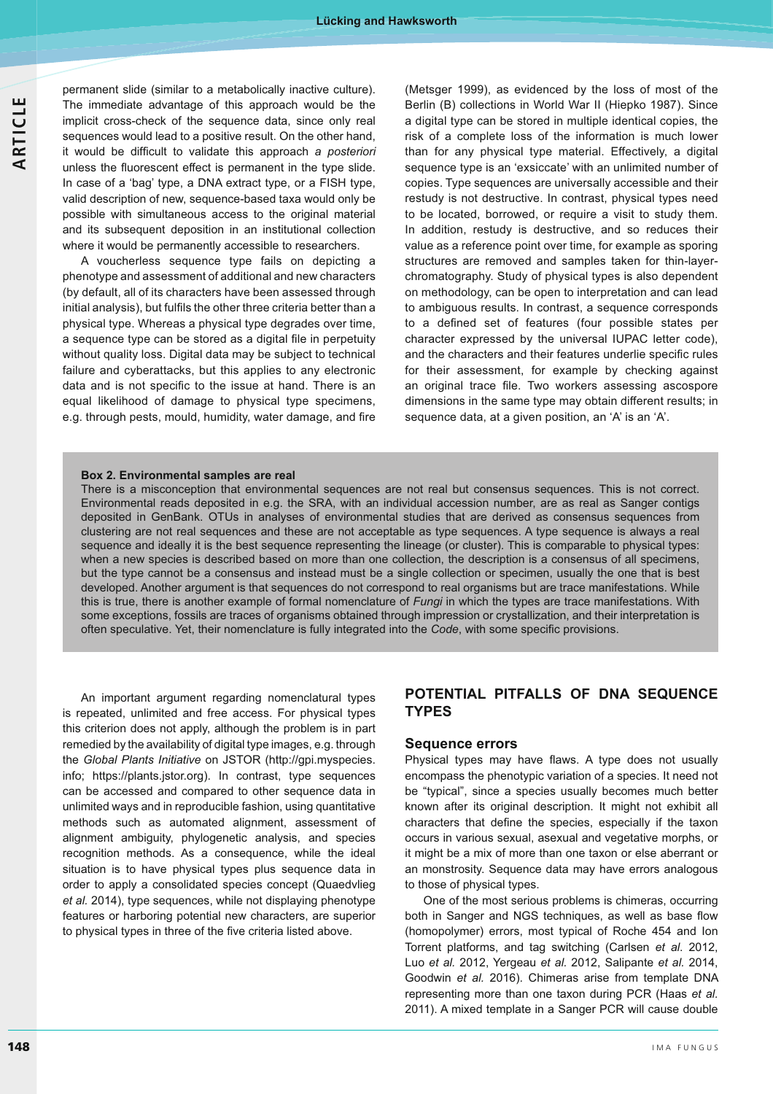permanent slide (similar to a metabolically inactive culture). The immediate advantage of this approach would be the implicit cross-check of the sequence data, since only real sequences would lead to a positive result. On the other hand, it would be difficult to validate this approach a posteriori unless the fluorescent effect is permanent in the type slide. In case of a 'bag' type, a DNA extract type, or a FISH type, valid description of new, sequence-based taxa would only be possible with simultaneous access to the original material and its subsequent deposition in an institutional collection where it would be permanently accessible to researchers.

A voucherless sequence type fails on depicting a phenotype and assessment of additional and new characters (by default, all of its characters have been assessed through initial analysis), but fulfils the other three criteria better than a physical type. Whereas a physical type degrades over time, a sequence type can be stored as a digital file in perpetuity without quality loss. Digital data may be subject to technical failure and cyberattacks, but this applies to any electronic data and is not specific to the issue at hand. There is an equal likelihood of damage to physical type specimens, e.g. through pests, mould, humidity, water damage, and fire (Metsger 1999), as evidenced by the loss of most of the Berlin (B) collections in World War II (Hiepko 1987). Since a digital type can be stored in multiple identical copies, the risk of a complete loss of the information is much lower than for any physical type material. Effectively, a digital sequence type is an 'exsiccate' with an unlimited number of copies. Type sequences are universally accessible and their restudy is not destructive. In contrast, physical types need to be located, borrowed, or require a visit to study them. In addition, restudy is destructive, and so reduces their value as a reference point over time, for example as sporing structures are removed and samples taken for thin-layerchromatography. Study of physical types is also dependent on methodology, can be open to interpretation and can lead to ambiguous results. In contrast, a sequence corresponds to a defined set of features (four possible states per character expressed by the universal IUPAC letter code), and the characters and their features underlie specific rules for their assessment, for example by checking against an original trace file. Two workers assessing ascospore dimensions in the same type may obtain different results; in sequence data, at a given position, an 'A' is an 'A'.

#### **Box 2. Environmental samples are real**

There is a misconception that environmental sequences are not real but consensus sequences. This is not correct. Environmental reads deposited in e.g. the SRA, with an individual accession number, are as real as Sanger contigs deposited in GenBank. OTUs in analyses of environmental studies that are derived as consensus sequences from clustering are not real sequences and these are not acceptable as type sequences. A type sequence is always a real sequence and ideally it is the best sequence representing the lineage (or cluster). This is comparable to physical types: when a new species is described based on more than one collection, the description is a consensus of all specimens, but the type cannot be a consensus and instead must be a single collection or specimen, usually the one that is best developed. Another argument is that sequences do not correspond to real organisms but are trace manifestations. While this is true, there is another example of formal nomenclature of *Fungi* in which the types are trace manifestations. With some exceptions, fossils are traces of organisms obtained through impression or crystallization, and their interpretation is often speculative. Yet, their nomenclature is fully integrated into the *Code*, with some specific provisions.

An important argument regarding nomenclatural types is repeated, unlimited and free access. For physical types this criterion does not apply, although the problem is in part remedied by the availability of digital type images, e.g. through the *Global Plants Initiative* on JSTOR (http://gpi.myspecies. info; https://plants.jstor.org). In contrast, type sequences can be accessed and compared to other sequence data in unlimited ways and in reproducible fashion, using quantitative methods such as automated alignment, assessment of alignment ambiguity, phylogenetic analysis, and species recognition methods. As a consequence, while the ideal situation is to have physical types plus sequence data in order to apply a consolidated species concept (Quaedvlieg *et al.* 2014), type sequences, while not displaying phenotype features or harboring potential new characters, are superior to physical types in three of the five criteria listed above.

## **POTENTIAL PITFALLS OF DNA SEQUENCE TYPES**

#### **Sequence errors**

Physical types may have flaws. A type does not usually encompass the phenotypic variation of a species. It need not be "typical", since a species usually becomes much better known after its original description. It might not exhibit all characters that define the species, especially if the taxon occurs in various sexual, asexual and vegetative morphs, or it might be a mix of more than one taxon or else aberrant or an monstrosity. Sequence data may have errors analogous to those of physical types.

One of the most serious problems is chimeras, occurring both in Sanger and NGS techniques, as well as base flow (homopolymer) errors, most typical of Roche 454 and Ion Torrent platforms, and tag switching (Carlsen *et al*. 2012, Luo *et al.* 2012, Yergeau *et al.* 2012, Salipante *et al.* 2014, Goodwin *et al.* 2016). Chimeras arise from template DNA representing more than one taxon during PCR (Haas *et al.*  2011). A mixed template in a Sanger PCR will cause double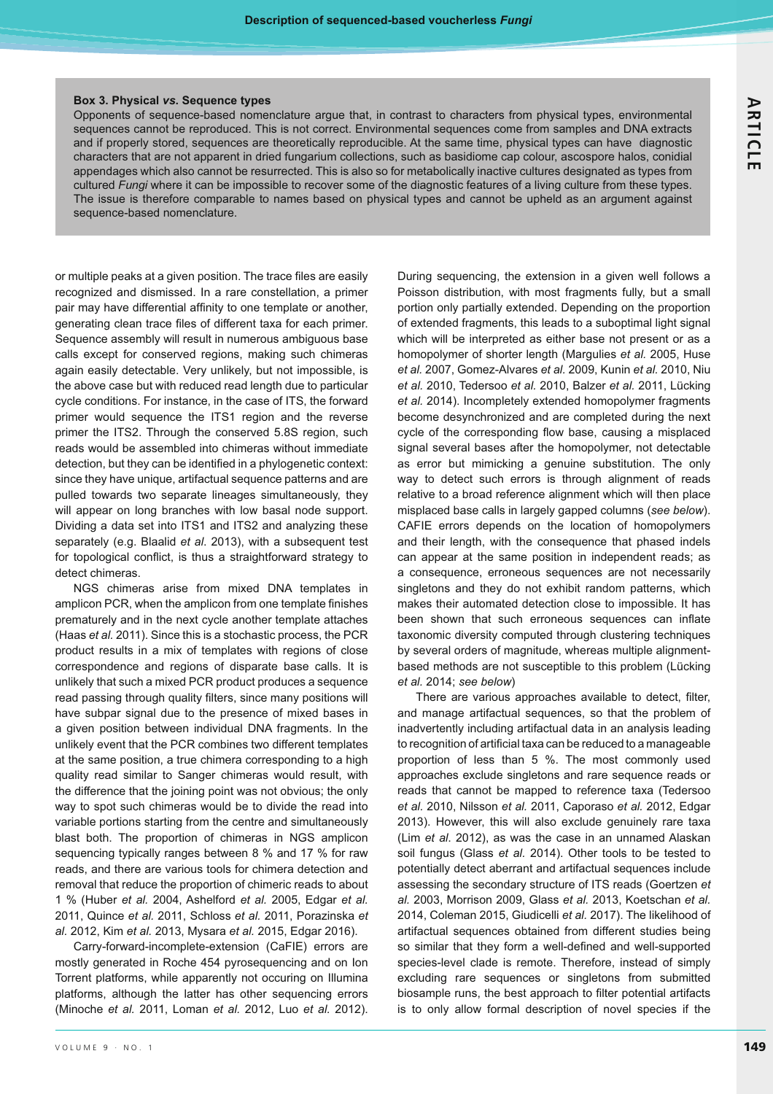#### **Box 3. Physical** *vs***. Sequence types**

Opponents of sequence-based nomenclature argue that, in contrast to characters from physical types, environmental sequences cannot be reproduced. This is not correct. Environmental sequences come from samples and DNA extracts and if properly stored, sequences are theoretically reproducible. At the same time, physical types can have diagnostic characters that are not apparent in dried fungarium collections, such as basidiome cap colour, ascospore halos, conidial appendages which also cannot be resurrected. This is also so for metabolically inactive cultures designated as types from cultured *Fungi* where it can be impossible to recover some of the diagnostic features of a living culture from these types. The issue is therefore comparable to names based on physical types and cannot be upheld as an argument against sequence-based nomenclature.

or multiple peaks at a given position. The trace files are easily recognized and dismissed. In a rare constellation, a primer pair may have differential affinity to one template or another, generating clean trace files of different taxa for each primer. Sequence assembly will result in numerous ambiguous base calls except for conserved regions, making such chimeras again easily detectable. Very unlikely, but not impossible, is the above case but with reduced read length due to particular cycle conditions. For instance, in the case of ITS, the forward primer would sequence the ITS1 region and the reverse primer the ITS2. Through the conserved 5.8S region, such reads would be assembled into chimeras without immediate detection, but they can be identified in a phylogenetic context: since they have unique, artifactual sequence patterns and are pulled towards two separate lineages simultaneously, they will appear on long branches with low basal node support. Dividing a data set into ITS1 and ITS2 and analyzing these separately (e.g. Blaalid *et al*. 2013), with a subsequent test for topological conflict, is thus a straightforward strategy to detect chimeras.

NGS chimeras arise from mixed DNA templates in amplicon PCR, when the amplicon from one template finishes prematurely and in the next cycle another template attaches (Haas *et al.* 2011). Since this is a stochastic process, the PCR product results in a mix of templates with regions of close correspondence and regions of disparate base calls. It is unlikely that such a mixed PCR product produces a sequence read passing through quality filters, since many positions will have subpar signal due to the presence of mixed bases in a given position between individual DNA fragments. In the unlikely event that the PCR combines two different templates at the same position, a true chimera corresponding to a high quality read similar to Sanger chimeras would result, with the difference that the joining point was not obvious; the only way to spot such chimeras would be to divide the read into variable portions starting from the centre and simultaneously blast both. The proportion of chimeras in NGS amplicon sequencing typically ranges between 8 % and 17 % for raw reads, and there are various tools for chimera detection and removal that reduce the proportion of chimeric reads to about 1 % (Huber *et al.* 2004, Ashelford *et al.* 2005, Edgar *et al.*  2011, Quince *et al.* 2011, Schloss *et al.* 2011, Porazinska *et al.* 2012, Kim *et al.* 2013, Mysara *et al.* 2015, Edgar 2016).

Carry-forward-incomplete-extension (CaFIE) errors are mostly generated in Roche 454 pyrosequencing and on Ion Torrent platforms, while apparently not occuring on Illumina platforms, although the latter has other sequencing errors (Minoche *et al.* 2011, Loman *et al.* 2012, Luo *et al.* 2012).

During sequencing, the extension in a given well follows a Poisson distribution, with most fragments fully, but a small portion only partially extended. Depending on the proportion of extended fragments, this leads to a suboptimal light signal which will be interpreted as either base not present or as a homopolymer of shorter length (Margulies *et al.* 2005, Huse *et al.* 2007, Gomez-Alvares *et al.* 2009, Kunin *et al.* 2010, Niu *et al.* 2010, Tedersoo *et al.* 2010, Balzer *et al.* 2011, Lücking *et al.* 2014). Incompletely extended homopolymer fragments become desynchronized and are completed during the next cycle of the corresponding flow base, causing a misplaced signal several bases after the homopolymer, not detectable as error but mimicking a genuine substitution. The only way to detect such errors is through alignment of reads relative to a broad reference alignment which will then place misplaced base calls in largely gapped columns (*see below*). CAFIE errors depends on the location of homopolymers and their length, with the consequence that phased indels can appear at the same position in independent reads; as a consequence, erroneous sequences are not necessarily singletons and they do not exhibit random patterns, which makes their automated detection close to impossible. It has been shown that such erroneous sequences can inflate taxonomic diversity computed through clustering techniques by several orders of magnitude, whereas multiple alignmentbased methods are not susceptible to this problem (Lücking *et al.* 2014; *see below*)

There are various approaches available to detect, filter, and manage artifactual sequences, so that the problem of inadvertently including artifactual data in an analysis leading to recognition of artificial taxa can be reduced to a manageable proportion of less than 5 %. The most commonly used approaches exclude singletons and rare sequence reads or reads that cannot be mapped to reference taxa (Tedersoo *et al.* 2010, Nilsson *et al.* 2011, Caporaso *et al.* 2012, Edgar 2013). However, this will also exclude genuinely rare taxa (Lim *et al*. 2012), as was the case in an unnamed Alaskan soil fungus (Glass *et al.* 2014). Other tools to be tested to potentially detect aberrant and artifactual sequences include assessing the secondary structure of ITS reads (Goertzen *et al.* 2003, Morrison 2009, Glass *et al.* 2013, Koetschan *et al.*  2014, Coleman 2015, Giudicelli *et al.* 2017). The likelihood of artifactual sequences obtained from different studies being so similar that they form a well-defined and well-supported species-level clade is remote. Therefore, instead of simply excluding rare sequences or singletons from submitted biosample runs, the best approach to filter potential artifacts is to only allow formal description of novel species if the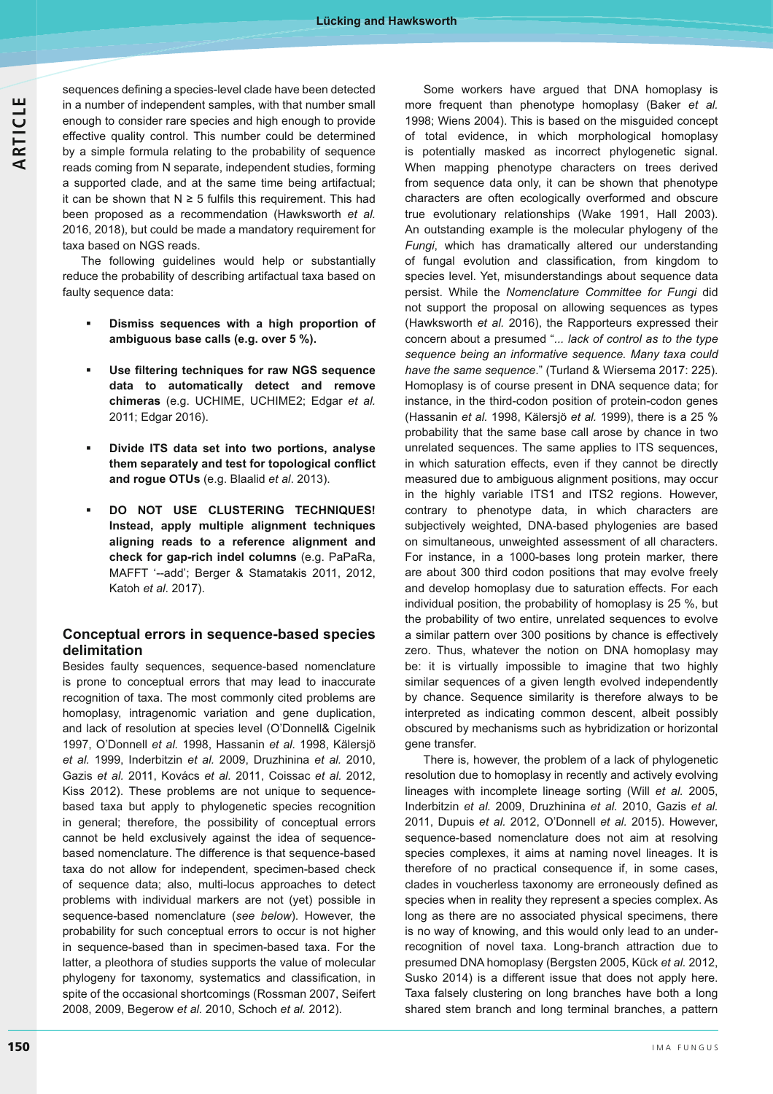sequences defining a species-level clade have been detected in a number of independent samples, with that number small enough to consider rare species and high enough to provide effective quality control. This number could be determined by a simple formula relating to the probability of sequence reads coming from N separate, independent studies, forming a supported clade, and at the same time being artifactual; it can be shown that  $N \geq 5$  fulfils this requirement. This had been proposed as a recommendation (Hawksworth *et al.*  2016, 2018), but could be made a mandatory requirement for taxa based on NGS reads.

The following guidelines would help or substantially reduce the probability of describing artifactual taxa based on faulty sequence data:

- - **Dismiss sequences with a high proportion of ambiguous base calls (e.g. over 5 %).**
- -Use filtering techniques for raw NGS sequence **data to automatically detect and remove chimeras** (e.g. UCHIME, UCHIME2; Edgar *et al.*  2011; Edgar 2016).
- - **Divide ITS data set into two portions, analyse**  them separately and test for topological conflict **and rogue OTUs** (e.g. Blaalid *et al*. 2013).
- - **DO NOT USE CLUSTERING TECHNIQUES! Instead, apply multiple alignment techniques aligning reads to a reference alignment and check for gap-rich indel columns** (e.g. PaPaRa, MAFFT '--add'; Berger & Stamatakis 2011, 2012, Katoh *et al*. 2017).

## **Conceptual errors in sequence-based species delimitation**

Besides faulty sequences, sequence-based nomenclature is prone to conceptual errors that may lead to inaccurate recognition of taxa. The most commonly cited problems are homoplasy, intragenomic variation and gene duplication, and lack of resolution at species level (O'Donnell& Cigelnik 1997, O'Donnell *et al.* 1998, Hassanin *et al.* 1998, Kälersjö *et al.* 1999, Inderbitzin *et al.* 2009, Druzhinina *et al.* 2010, Gazis *et al.* 2011, Kovács *et al.* 2011, Coissac *et al.* 2012, Kiss 2012). These problems are not unique to sequencebased taxa but apply to phylogenetic species recognition in general; therefore, the possibility of conceptual errors cannot be held exclusively against the idea of sequencebased nomenclature. The difference is that sequence-based taxa do not allow for independent, specimen-based check of sequence data; also, multi-locus approaches to detect problems with individual markers are not (yet) possible in sequence-based nomenclature (*see below*). However, the probability for such conceptual errors to occur is not higher in sequence-based than in specimen-based taxa. For the latter, a pleothora of studies supports the value of molecular phylogeny for taxonomy, systematics and classification, in spite of the occasional shortcomings (Rossman 2007, Seifert 2008, 2009, Begerow *et al.* 2010, Schoch *et al.* 2012).

 Some workers have argued that DNA homoplasy is more frequent than phenotype homoplasy (Baker *et al.*  1998; Wiens 2004). This is based on the misguided concept of total evidence, in which morphological homoplasy is potentially masked as incorrect phylogenetic signal. When mapping phenotype characters on trees derived from sequence data only, it can be shown that phenotype characters are often ecologically overformed and obscure true evolutionary relationships (Wake 1991, Hall 2003). An outstanding example is the molecular phylogeny of the *Fungi*, which has dramatically altered our understanding of fungal evolution and classification, from kingdom to species level. Yet, misunderstandings about sequence data persist. While the *Nomenclature Committee for Fungi* did not support the proposal on allowing sequences as types (Hawksworth *et al.* 2016), the Rapporteurs expressed their concern about a presumed "*... lack of control as to the type sequence being an informative sequence. Many taxa could have the same sequence*." (Turland & Wiersema 2017: 225). Homoplasy is of course present in DNA sequence data; for instance, in the third-codon position of protein-codon genes (Hassanin *et al.* 1998, Kälersjö *et al.* 1999), there is a 25 % probability that the same base call arose by chance in two unrelated sequences. The same applies to ITS sequences, in which saturation effects, even if they cannot be directly measured due to ambiguous alignment positions, may occur in the highly variable ITS1 and ITS2 regions. However, contrary to phenotype data, in which characters are subjectively weighted, DNA-based phylogenies are based on simultaneous, unweighted assessment of all characters. For instance, in a 1000-bases long protein marker, there are about 300 third codon positions that may evolve freely and develop homoplasy due to saturation effects. For each individual position, the probability of homoplasy is 25 %, but the probability of two entire, unrelated sequences to evolve a similar pattern over 300 positions by chance is effectively zero. Thus, whatever the notion on DNA homoplasy may be: it is virtually impossible to imagine that two highly similar sequences of a given length evolved independently by chance. Sequence similarity is therefore always to be interpreted as indicating common descent, albeit possibly obscured by mechanisms such as hybridization or horizontal gene transfer.

There is, however, the problem of a lack of phylogenetic resolution due to homoplasy in recently and actively evolving lineages with incomplete lineage sorting (Will *et al.* 2005, Inderbitzin *et al.* 2009, Druzhinina *et al.* 2010, Gazis *et al.*  2011, Dupuis *et al.* 2012, O'Donnell *et al.* 2015). However, sequence-based nomenclature does not aim at resolving species complexes, it aims at naming novel lineages. It is therefore of no practical consequence if, in some cases, clades in voucherless taxonomy are erroneously defined as species when in reality they represent a species complex. As long as there are no associated physical specimens, there is no way of knowing, and this would only lead to an underrecognition of novel taxa. Long-branch attraction due to presumed DNA homoplasy (Bergsten 2005, Kück *et al.* 2012, Susko 2014) is a different issue that does not apply here. Taxa falsely clustering on long branches have both a long shared stem branch and long terminal branches, a pattern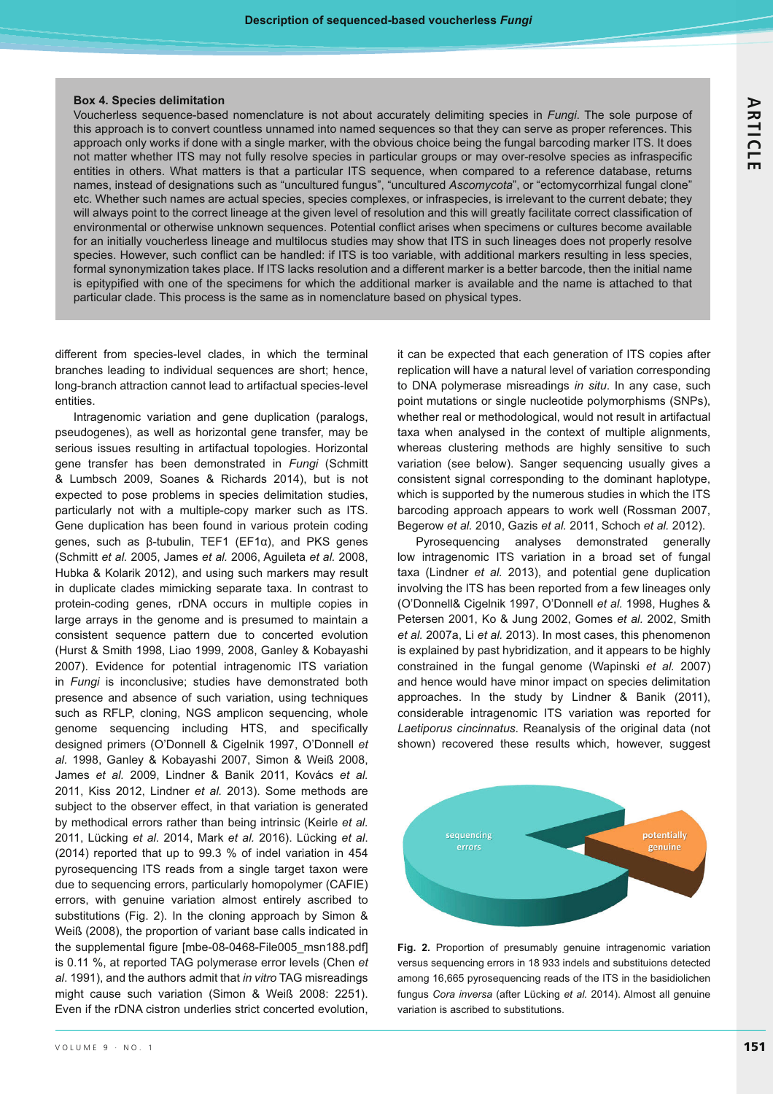#### **Box 4. Species delimitation**

Voucherless sequence-based nomenclature is not about accurately delimiting species in *Fungi*. The sole purpose of this approach is to convert countless unnamed into named sequences so that they can serve as proper references. This approach only works if done with a single marker, with the obvious choice being the fungal barcoding marker ITS. It does not matter whether ITS may not fully resolve species in particular groups or may over-resolve species as infraspecific entities in others. What matters is that a particular ITS sequence, when compared to a reference database, returns names, instead of designations such as "uncultured fungus", "uncultured *Ascomycota*", or "ectomycorrhizal fungal clone" etc. Whether such names are actual species, species complexes, or infraspecies, is irrelevant to the current debate; they will always point to the correct lineage at the given level of resolution and this will greatly facilitate correct classification of environmental or otherwise unknown sequences. Potential conflict arises when specimens or cultures become available for an initially voucherless lineage and multilocus studies may show that ITS in such lineages does not properly resolve species. However, such conflict can be handled: if ITS is too variable, with additional markers resulting in less species, formal synonymization takes place. If ITS lacks resolution and a different marker is a better barcode, then the initial name is epitypified with one of the specimens for which the additional marker is available and the name is attached to that particular clade. This process is the same as in nomenclature based on physical types.

different from species-level clades, in which the terminal branches leading to individual sequences are short; hence, long-branch attraction cannot lead to artifactual species-level entities.

Intragenomic variation and gene duplication (paralogs, pseudogenes), as well as horizontal gene transfer, may be serious issues resulting in artifactual topologies. Horizontal gene transfer has been demonstrated in *Fungi* (Schmitt & Lumbsch 2009, Soanes & Richards 2014), but is not expected to pose problems in species delimitation studies, particularly not with a multiple-copy marker such as ITS. Gene duplication has been found in various protein coding genes, such as  $\beta$ -tubulin, TEF1 (EF1 $\alpha$ ), and PKS genes (Schmitt *et al.* 2005, James *et al.* 2006, Aguileta *et al.* 2008, Hubka & Kolarik 2012), and using such markers may result in duplicate clades mimicking separate taxa. In contrast to protein-coding genes, rDNA occurs in multiple copies in large arrays in the genome and is presumed to maintain a consistent sequence pattern due to concerted evolution (Hurst & Smith 1998, Liao 1999, 2008, Ganley & Kobayashi 2007). Evidence for potential intragenomic ITS variation in *Fungi* is inconclusive; studies have demonstrated both presence and absence of such variation, using techniques such as RFLP, cloning, NGS amplicon sequencing, whole genome sequencing including HTS, and specifically designed primers (O'Donnell & Cigelnik 1997, O'Donnell *et al.* 1998, Ganley & Kobayashi 2007, Simon & Weiß 2008, James et al. 2009, Lindner & Banik 2011, Kovács et al. 2011, Kiss 2012, Lindner *et al.* 2013). Some methods are subject to the observer effect, in that variation is generated by methodical errors rather than being intrinsic (Keirle *et al.*  2011, Lücking *et al.* 2014, Mark *et al.* 2016). Lücking *et al*. (2014) reported that up to 99.3 % of indel variation in 454 pyrosequencing ITS reads from a single target taxon were due to sequencing errors, particularly homopolymer (CAFIE) errors, with genuine variation almost entirely ascribed to substitutions (Fig. 2). In the cloning approach by Simon & Weiß (2008), the proportion of variant base calls indicated in the supplemental figure [mbe-08-0468-File005\_msn188.pdf] is 0.11 %, at reported TAG polymerase error levels (Chen *et al*. 1991), and the authors admit that *in vitro* TAG misreadings might cause such variation (Simon & Weiß 2008: 2251). Even if the rDNA cistron underlies strict concerted evolution,

it can be expected that each generation of ITS copies after replication will have a natural level of variation corresponding to DNA polymerase misreadings *in situ*. In any case, such point mutations or single nucleotide polymorphisms (SNPs), whether real or methodological, would not result in artifactual taxa when analysed in the context of multiple alignments, whereas clustering methods are highly sensitive to such variation (see below). Sanger sequencing usually gives a consistent signal corresponding to the dominant haplotype, which is supported by the numerous studies in which the ITS barcoding approach appears to work well (Rossman 2007, Begerow *et al.* 2010, Gazis *et al.* 2011, Schoch *et al.* 2012).

Pyrosequencing analyses demonstrated generally low intragenomic ITS variation in a broad set of fungal taxa (Lindner *et al.* 2013), and potential gene duplication involving the ITS has been reported from a few lineages only (O'Donnell& Cigelnik 1997, O'Donnell *et al.* 1998, Hughes & Petersen 2001, Ko & Jung 2002, Gomes *et al.* 2002, Smith *et al.* 2007a, Li *et al.* 2013). In most cases, this phenomenon is explained by past hybridization, and it appears to be highly constrained in the fungal genome (Wapinski *et al.* 2007) and hence would have minor impact on species delimitation approaches. In the study by Lindner & Banik (2011), considerable intragenomic ITS variation was reported for *Laetiporus cincinnatus*. Reanalysis of the original data (not shown) recovered these results which, however, suggest



**Fig. 2.** Proportion of presumably genuine intragenomic variation versus sequencing errors in 18 933 indels and substituions detected among 16,665 pyrosequencing reads of the ITS in the basidiolichen fungus *Cora inversa* (after Lücking *et al.* 2014). Almost all genuine variation is ascribed to substitutions.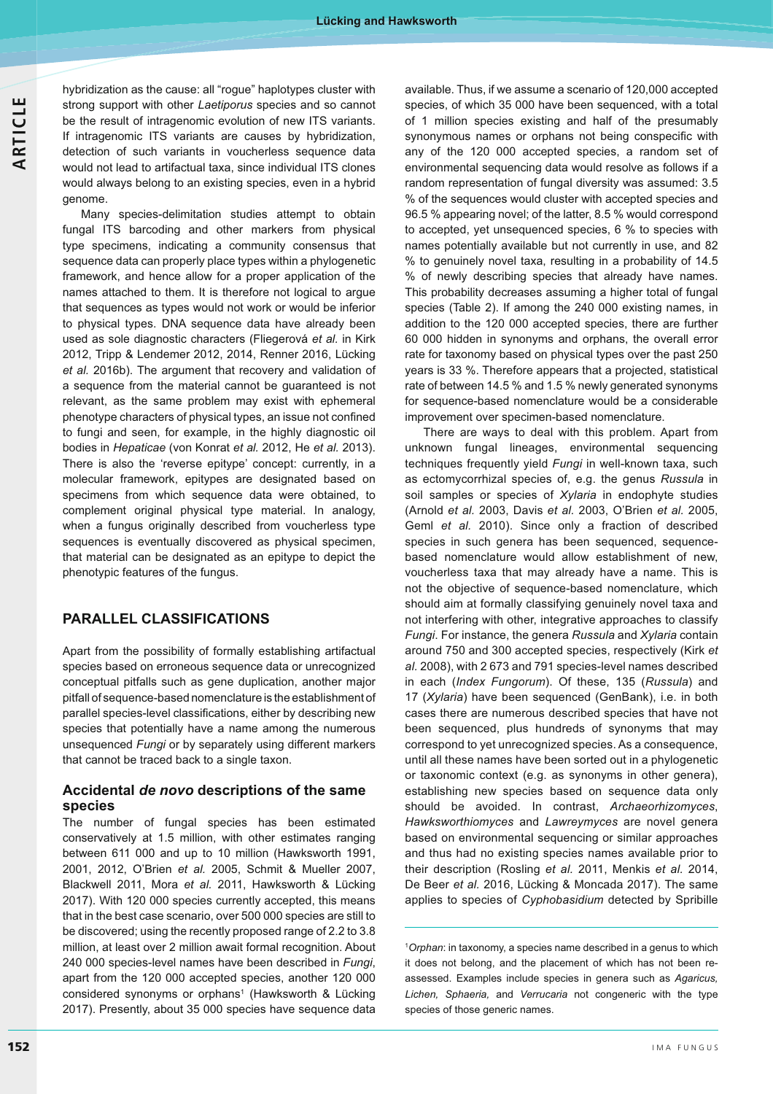hybridization as the cause: all "rogue" haplotypes cluster with strong support with other *Laetiporus* species and so cannot be the result of intragenomic evolution of new ITS variants. If intragenomic ITS variants are causes by hybridization, detection of such variants in voucherless sequence data would not lead to artifactual taxa, since individual ITS clones would always belong to an existing species, even in a hybrid genome.

Many species-delimitation studies attempt to obtain fungal ITS barcoding and other markers from physical type specimens, indicating a community consensus that sequence data can properly place types within a phylogenetic framework, and hence allow for a proper application of the names attached to them. It is therefore not logical to argue that sequences as types would not work or would be inferior to physical types. DNA sequence data have already been used as sole diagnostic characters (Fliegerová et al. in Kirk 2012, Tripp & Lendemer 2012, 2014, Renner 2016, Lücking *et al.* 2016b). The argument that recovery and validation of a sequence from the material cannot be guaranteed is not relevant, as the same problem may exist with ephemeral phenotype characters of physical types, an issue not confined to fungi and seen, for example, in the highly diagnostic oil bodies in *Hepaticae* (von Konrat *et al.* 2012, He *et al.* 2013). There is also the 'reverse epitype' concept: currently, in a molecular framework, epitypes are designated based on specimens from which sequence data were obtained, to complement original physical type material. In analogy, when a fungus originally described from voucherless type sequences is eventually discovered as physical specimen, that material can be designated as an epitype to depict the phenotypic features of the fungus.

## **PARALLEL CLASSIFICATIONS**

Apart from the possibility of formally establishing artifactual species based on erroneous sequence data or unrecognized conceptual pitfalls such as gene duplication, another major pitfall of sequence-based nomenclature is the establishment of parallel species-level classifications, either by describing new species that potentially have a name among the numerous unsequenced *Fungi* or by separately using different markers that cannot be traced back to a single taxon.

## **Accidental** *de novo* **descriptions of the same species**

The number of fungal species has been estimated conservatively at 1.5 million, with other estimates ranging between 611 000 and up to 10 million (Hawksworth 1991, 2001, 2012, O'Brien *et al.* 2005, Schmit & Mueller 2007, Blackwell 2011, Mora *et al.* 2011, Hawksworth & Lücking 2017). With 120 000 species currently accepted, this means that in the best case scenario, over 500 000 species are still to be discovered; using the recently proposed range of 2.2 to 3.8 million, at least over 2 million await formal recognition. About 240 000 species-level names have been described in *Fungi*, apart from the 120 000 accepted species, another 120 000 considered synonyms or orphans<sup>1</sup> (Hawksworth & Lücking 2017). Presently, about 35 000 species have sequence data

available. Thus, if we assume a scenario of 120,000 accepted species, of which 35 000 have been sequenced, with a total of 1 million species existing and half of the presumably synonymous names or orphans not being conspecific with any of the 120 000 accepted species, a random set of environmental sequencing data would resolve as follows if a random representation of fungal diversity was assumed: 3.5 % of the sequences would cluster with accepted species and 96.5 % appearing novel; of the latter, 8.5 % would correspond to accepted, yet unsequenced species, 6 % to species with names potentially available but not currently in use, and 82 % to genuinely novel taxa, resulting in a probability of 14.5 % of newly describing species that already have names. This probability decreases assuming a higher total of fungal species (Table 2). If among the 240 000 existing names, in addition to the 120 000 accepted species, there are further 60 000 hidden in synonyms and orphans, the overall error rate for taxonomy based on physical types over the past 250 years is 33 %. Therefore appears that a projected, statistical rate of between 14.5 % and 1.5 % newly generated synonyms for sequence-based nomenclature would be a considerable improvement over specimen-based nomenclature.

There are ways to deal with this problem. Apart from unknown fungal lineages, environmental sequencing techniques frequently yield *Fungi* in well-known taxa, such as ectomycorrhizal species of, e.g. the genus *Russula* in soil samples or species of *Xylaria* in endophyte studies (Arnold *et al.* 2003, Davis *et al.* 2003, O'Brien *et al.* 2005, Geml *et al.* 2010). Since only a fraction of described species in such genera has been sequenced, sequencebased nomenclature would allow establishment of new, voucherless taxa that may already have a name. This is not the objective of sequence-based nomenclature, which should aim at formally classifying genuinely novel taxa and not interfering with other, integrative approaches to classify *Fungi*. For instance, the genera *Russula* and *Xylaria* contain around 750 and 300 accepted species, respectively (Kirk *et al.* 2008), with 2 673 and 791 species-level names described in each (*Index Fungorum*). Of these, 135 (*Russula*) and 17 (*Xylaria*) have been sequenced (GenBank), i.e. in both cases there are numerous described species that have not been sequenced, plus hundreds of synonyms that may correspond to yet unrecognized species. As a consequence, until all these names have been sorted out in a phylogenetic or taxonomic context (e.g. as synonyms in other genera), establishing new species based on sequence data only should be avoided. In contrast, *Archaeorhizomyces*, *Hawksworthiomyces* and *Lawreymyces* are novel genera based on environmental sequencing or similar approaches and thus had no existing species names available prior to their description (Rosling *et al.* 2011, Menkis *et al.* 2014, De Beer *et al.* 2016, Lücking & Moncada 2017). The same applies to species of *Cyphobasidium* detected by Spribille

1 *Orphan*: in taxonomy, a species name described in a genus to which it does not belong, and the placement of which has not been reassessed. Examples include species in genera such as *Agaricus, Lichen, Sphaeria,* and *Verrucaria* not congeneric with the type species of those generic names.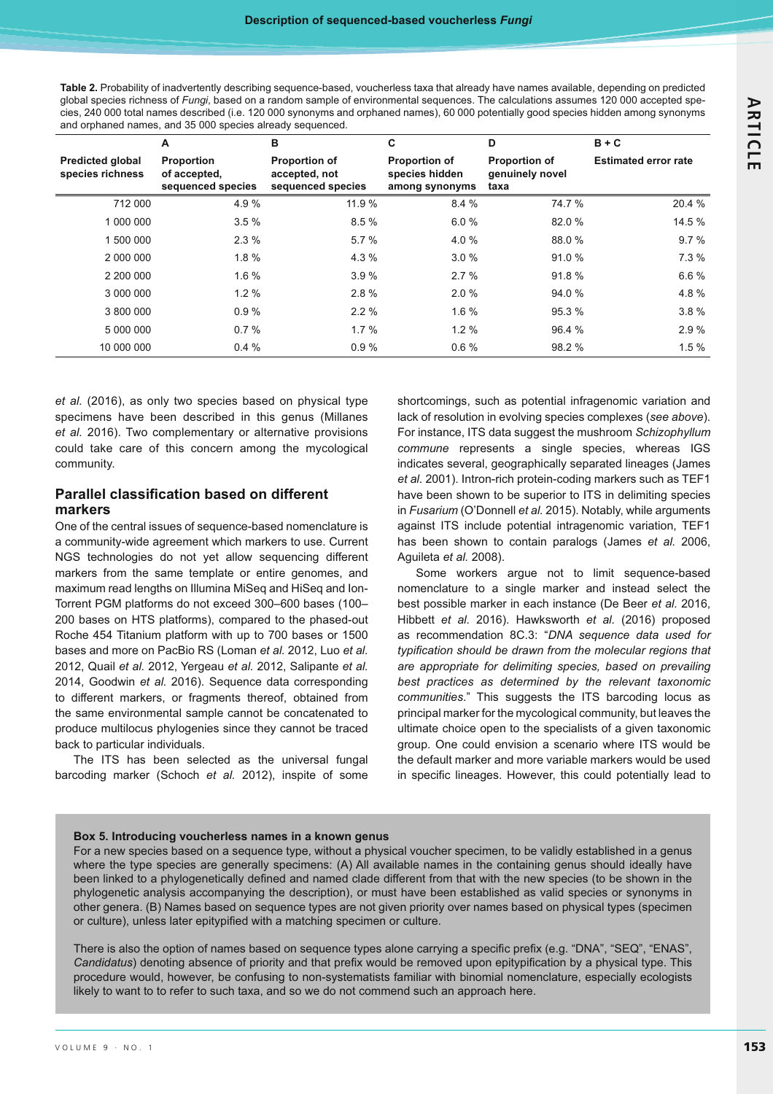**Table 2.** Probability of inadvertently describing sequence-based, voucherless taxa that already have names available, depending on predicted global species richness of *Fungi*, based on a random sample of environmental sequences. The calculations assumes 120 000 accepted species, 240 000 total names described (i.e. 120 000 synonyms and orphaned names), 60 000 potentially good species hidden among synonyms and orphaned names, and 35 000 species already sequenced.

|                                             | Α                                                      | в                                                          | C                                                        | D                                               | $B + C$                     |
|---------------------------------------------|--------------------------------------------------------|------------------------------------------------------------|----------------------------------------------------------|-------------------------------------------------|-----------------------------|
| <b>Predicted global</b><br>species richness | <b>Proportion</b><br>of accepted,<br>sequenced species | <b>Proportion of</b><br>accepted, not<br>sequenced species | <b>Proportion of</b><br>species hidden<br>among synonyms | <b>Proportion of</b><br>genuinely novel<br>taxa | <b>Estimated error rate</b> |
| 712 000                                     | 4.9%                                                   | 11.9 %                                                     | 8.4%                                                     | 74.7 %                                          | 20.4 %                      |
| 1 000 000                                   | 3.5%                                                   | 8.5%                                                       | 6.0%                                                     | 82.0 %                                          | 14.5 %                      |
| 1 500 000                                   | 2.3%                                                   | 5.7%                                                       | 4.0 %                                                    | 88.0 %                                          | 9.7%                        |
| 2 000 000                                   | $1.8 \%$                                               | 4.3 %                                                      | 3.0%                                                     | 91.0%                                           | 7.3%                        |
| 2 200 000                                   | 1.6%                                                   | 3.9%                                                       | 2.7%                                                     | 91.8%                                           | 6.6%                        |
| 3 000 000                                   | $1.2 \%$                                               | 2.8%                                                       | 2.0%                                                     | 94.0 %                                          | 4.8%                        |
| 3 800 000                                   | 0.9%                                                   | 2.2%                                                       | 1.6%                                                     | 95.3 %                                          | 3.8%                        |
| 5 000 000                                   | 0.7%                                                   | 1.7%                                                       | $1.2 \%$                                                 | 96.4 %                                          | 2.9%                        |
| 10 000 000                                  | 0.4%                                                   | 0.9%                                                       | 0.6%                                                     | 98.2 %                                          | 1.5%                        |

*et al.* (2016), as only two species based on physical type specimens have been described in this genus (Millanes *et al.* 2016). Two complementary or alternative provisions could take care of this concern among the mycological community.

## **Parallel classification based on different markers**

One of the central issues of sequence-based nomenclature is a community-wide agreement which markers to use. Current NGS technologies do not yet allow sequencing different markers from the same template or entire genomes, and maximum read lengths on Illumina MiSeq and HiSeq and Ion-Torrent PGM platforms do not exceed 300–600 bases (100– 200 bases on HTS platforms), compared to the phased-out Roche 454 Titanium platform with up to 700 bases or 1500 bases and more on PacBio RS (Loman *et al.* 2012, Luo *et al.*  2012, Quail *et al.* 2012, Yergeau *et al.* 2012, Salipante *et al.*  2014, Goodwin *et al.* 2016). Sequence data corresponding to different markers, or fragments thereof, obtained from the same environmental sample cannot be concatenated to produce multilocus phylogenies since they cannot be traced back to particular individuals.

The ITS has been selected as the universal fungal barcoding marker (Schoch *et al.* 2012), inspite of some

shortcomings, such as potential infragenomic variation and lack of resolution in evolving species complexes (*see above*). For instance, ITS data suggest the mushroom *Schizophyllum commune* represents a single species, whereas IGS indicates several, geographically separated lineages (James *et al.* 2001). Intron-rich protein-coding markers such as TEF1 have been shown to be superior to ITS in delimiting species in *Fusarium* (O'Donnell *et al.* 2015). Notably, while arguments against ITS include potential intragenomic variation, TEF1 has been shown to contain paralogs (James *et al.* 2006, Aguileta *et al.* 2008).

Some workers argue not to limit sequence-based nomenclature to a single marker and instead select the best possible marker in each instance (De Beer *et al.* 2016, Hibbett *et al.* 2016). Hawksworth *et al.* (2016) proposed as recommendation 8C.3: "*DNA sequence data used for*  typification should be drawn from the molecular regions that *are appropriate for delimiting species, based on prevailing best practices as determined by the relevant taxonomic communities*." This suggests the ITS barcoding locus as principal marker for the mycological community, but leaves the ultimate choice open to the specialists of a given taxonomic group. One could envision a scenario where ITS would be the default marker and more variable markers would be used in specific lineages. However, this could potentially lead to

#### **Box 5. Introducing voucherless names in a known genus**

For a new species based on a sequence type, without a physical voucher specimen, to be validly established in a genus where the type species are generally specimens: (A) All available names in the containing genus should ideally have been linked to a phylogenetically defined and named clade different from that with the new species (to be shown in the phylogenetic analysis accompanying the description), or must have been established as valid species or synonyms in other genera. (B) Names based on sequence types are not given priority over names based on physical types (specimen or culture), unless later epitypified with a matching specimen or culture.

There is also the option of names based on sequence types alone carrying a specific prefix (e.g. "DNA", "SEQ", "ENAS", Candidatus) denoting absence of priority and that prefix would be removed upon epitypification by a physical type. This procedure would, however, be confusing to non-systematists familiar with binomial nomenclature, especially ecologists likely to want to to refer to such taxa, and so we do not commend such an approach here.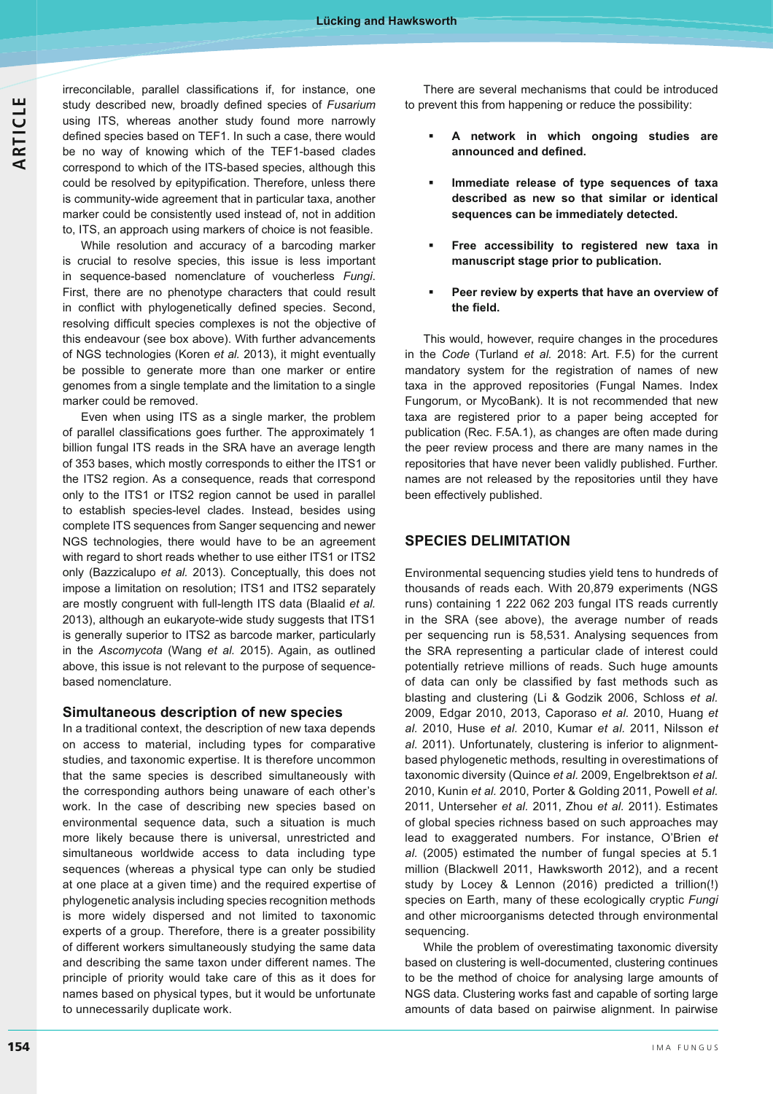irreconcilable, parallel classifications if, for instance, one study described new, broadly defined species of Fusarium using ITS, whereas another study found more narrowly defined species based on TEF1. In such a case, there would be no way of knowing which of the TEF1-based clades correspond to which of the ITS-based species, although this could be resolved by epitypification. Therefore, unless there is community-wide agreement that in particular taxa, another marker could be consistently used instead of, not in addition to, ITS, an approach using markers of choice is not feasible.

 While resolution and accuracy of a barcoding marker is crucial to resolve species, this issue is less important in sequence-based nomenclature of voucherless *Fungi*. First, there are no phenotype characters that could result in conflict with phylogenetically defined species. Second, resolving difficult species complexes is not the objective of this endeavour (see box above). With further advancements of NGS technologies (Koren *et al.* 2013), it might eventually be possible to generate more than one marker or entire genomes from a single template and the limitation to a single marker could be removed.

Even when using ITS as a single marker, the problem of parallel classifications goes further. The approximately 1 billion fungal ITS reads in the SRA have an average length of 353 bases, which mostly corresponds to either the ITS1 or the ITS2 region. As a consequence, reads that correspond only to the ITS1 or ITS2 region cannot be used in parallel to establish species-level clades. Instead, besides using complete ITS sequences from Sanger sequencing and newer NGS technologies, there would have to be an agreement with regard to short reads whether to use either ITS1 or ITS2 only (Bazzicalupo *et al.* 2013). Conceptually, this does not impose a limitation on resolution; ITS1 and ITS2 separately are mostly congruent with full-length ITS data (Blaalid *et al.*  2013), although an eukaryote-wide study suggests that ITS1 is generally superior to ITS2 as barcode marker, particularly in the *Ascomycota* (Wang *et al.* 2015). Again, as outlined above, this issue is not relevant to the purpose of sequencebased nomenclature.

#### **Simultaneous description of new species**

In a traditional context, the description of new taxa depends on access to material, including types for comparative studies, and taxonomic expertise. It is therefore uncommon that the same species is described simultaneously with the corresponding authors being unaware of each other's work. In the case of describing new species based on environmental sequence data, such a situation is much more likely because there is universal, unrestricted and simultaneous worldwide access to data including type sequences (whereas a physical type can only be studied at one place at a given time) and the required expertise of phylogenetic analysis including species recognition methods is more widely dispersed and not limited to taxonomic experts of a group. Therefore, there is a greater possibility of different workers simultaneously studying the same data and describing the same taxon under different names. The principle of priority would take care of this as it does for names based on physical types, but it would be unfortunate to unnecessarily duplicate work.

There are several mechanisms that could be introduced to prevent this from happening or reduce the possibility:

- - **A network in which ongoing studies are**  announced and defined.
- - **Immediate release of type sequences of taxa described as new so that similar or identical sequences can be immediately detected.**
- - **Free accessibility to registered new taxa in manuscript stage prior to publication.**
- - **Peer review by experts that have an overview of**  the field.

This would, however, require changes in the procedures in the *Code* (Turland *et al.* 2018: Art. F.5) for the current mandatory system for the registration of names of new taxa in the approved repositories (Fungal Names. Index Fungorum, or MycoBank). It is not recommended that new taxa are registered prior to a paper being accepted for publication (Rec. F.5A.1), as changes are often made during the peer review process and there are many names in the repositories that have never been validly published. Further. names are not released by the repositories until they have been effectively published.

## **SPECIES DELIMITATION**

Environmental sequencing studies yield tens to hundreds of thousands of reads each. With 20,879 experiments (NGS runs) containing 1 222 062 203 fungal ITS reads currently in the SRA (see above), the average number of reads per sequencing run is 58,531. Analysing sequences from the SRA representing a particular clade of interest could potentially retrieve millions of reads. Such huge amounts of data can only be classified by fast methods such as blasting and clustering (Li & Godzik 2006, Schloss *et al.*  2009, Edgar 2010, 2013, Caporaso *et al.* 2010, Huang *et al.* 2010, Huse *et al.* 2010, Kumar *et al.* 2011, Nilsson *et al.* 2011). Unfortunately, clustering is inferior to alignmentbased phylogenetic methods, resulting in overestimations of taxonomic diversity (Quince *et al.* 2009, Engelbrektson *et al.*  2010, Kunin *et al.* 2010, Porter & Golding 2011, Powell *et al.*  2011, Unterseher *et al.* 2011, Zhou *et al.* 2011). Estimates of global species richness based on such approaches may lead to exaggerated numbers. For instance, O'Brien *et al.* (2005) estimated the number of fungal species at 5.1 million (Blackwell 2011, Hawksworth 2012), and a recent study by Locey & Lennon (2016) predicted a trillion(!) species on Earth, many of these ecologically cryptic *Fungi* and other microorganisms detected through environmental sequencing.

While the problem of overestimating taxonomic diversity based on clustering is well-documented, clustering continues to be the method of choice for analysing large amounts of NGS data. Clustering works fast and capable of sorting large amounts of data based on pairwise alignment. In pairwise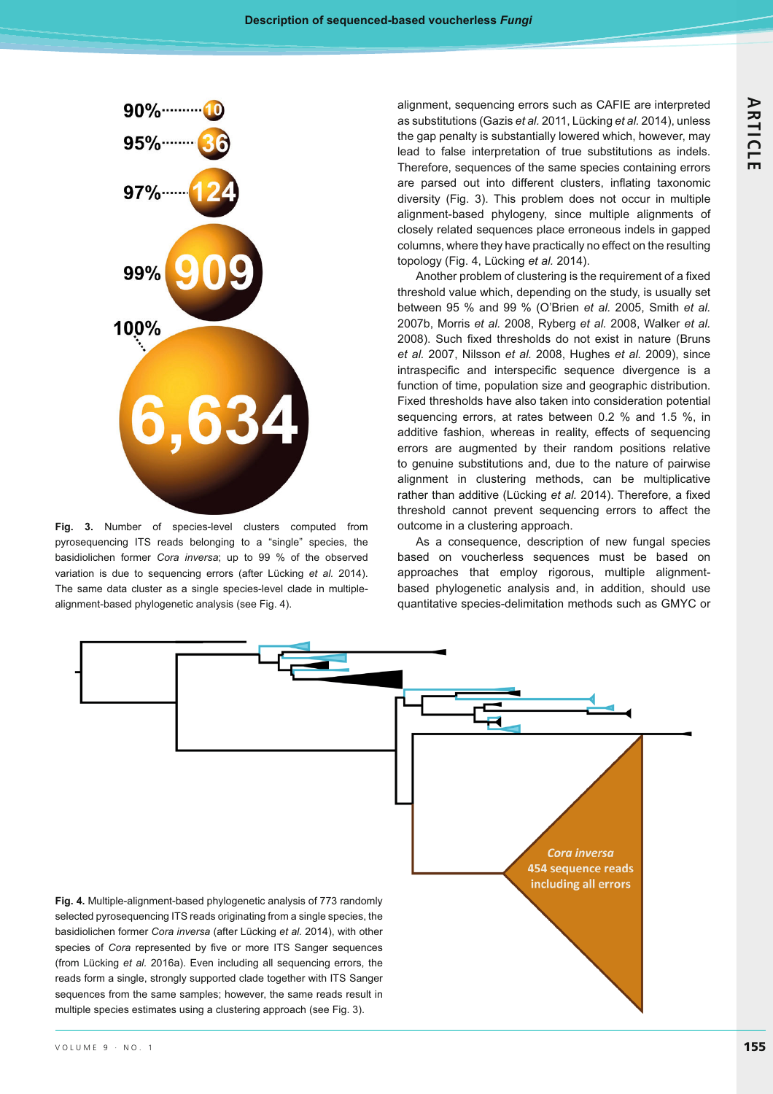

**Fig. 3.** Number of species-level clusters computed from pyrosequencing ITS reads belonging to a "single" species, the basidiolichen former *Cora inversa*; up to 99 % of the observed variation is due to sequencing errors (after Lücking *et al.* 2014). The same data cluster as a single species-level clade in multiplealignment-based phylogenetic analysis (see Fig. 4).

alignment, sequencing errors such as CAFIE are interpreted as substitutions (Gazis *et al.* 2011, Lücking *et al.* 2014), unless the gap penalty is substantially lowered which, however, may lead to false interpretation of true substitutions as indels. Therefore, sequences of the same species containing errors are parsed out into different clusters, inflating taxonomic diversity (Fig. 3). This problem does not occur in multiple alignment-based phylogeny, since multiple alignments of closely related sequences place erroneous indels in gapped columns, where they have practically no effect on the resulting topology (Fig. 4, Lücking *et al.* 2014).

Another problem of clustering is the requirement of a fixed threshold value which, depending on the study, is usually set between 95 % and 99 % (O'Brien *et al.* 2005, Smith *et al.*  2007b, Morris *et al.* 2008, Ryberg *et al.* 2008, Walker *et al.*  2008). Such fixed thresholds do not exist in nature (Bruns *et al.* 2007, Nilsson *et al.* 2008, Hughes *et al.* 2009), since intraspecific and interspecific sequence divergence is a function of time, population size and geographic distribution. Fixed thresholds have also taken into consideration potential sequencing errors, at rates between 0.2 % and 1.5 %, in additive fashion, whereas in reality, effects of sequencing errors are augmented by their random positions relative to genuine substitutions and, due to the nature of pairwise alignment in clustering methods, can be multiplicative rather than additive (Lücking *et al.* 2014). Therefore, a fixed threshold cannot prevent sequencing errors to affect the outcome in a clustering approach.

As a consequence, description of new fungal species based on voucherless sequences must be based on approaches that employ rigorous, multiple alignmentbased phylogenetic analysis and, in addition, should use quantitative species-delimitation methods such as GMYC or

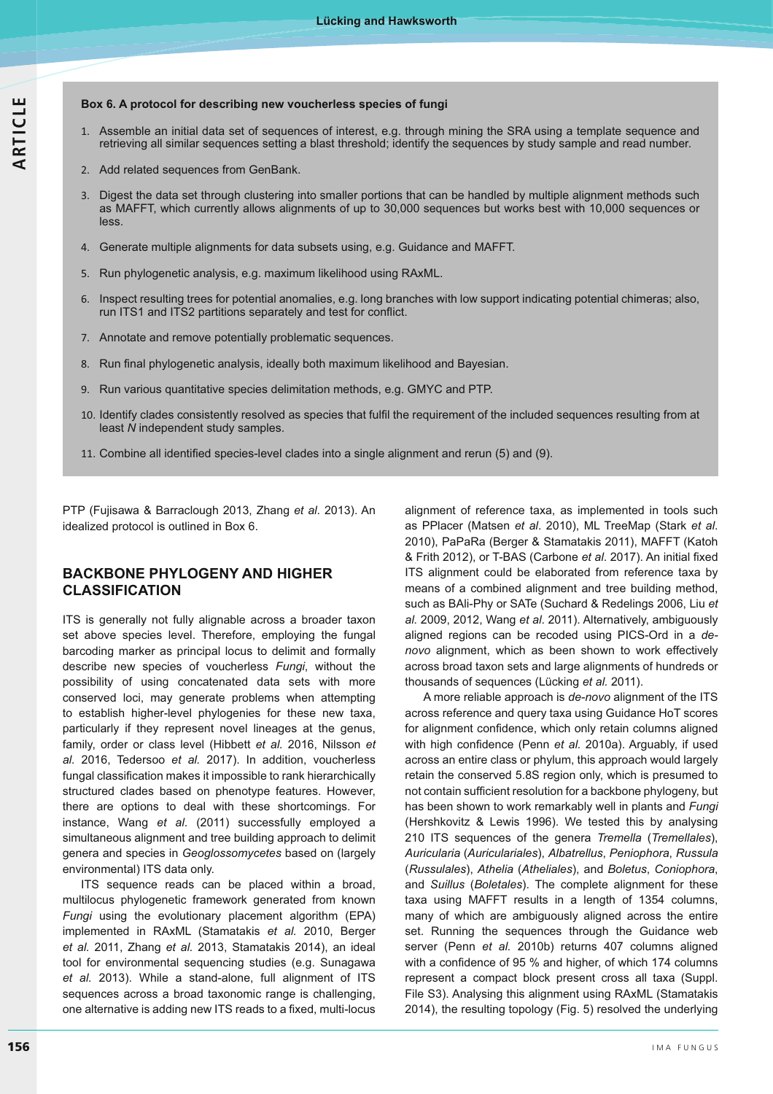#### **Box 6. A protocol for describing new voucherless species of fungi**

- 1. Assemble an initial data set of sequences of interest, e.g. through mining the SRA using a template sequence and retrieving all similar sequences setting a blast threshold; identify the sequences by study sample and read number.
- 2. Add related sequences from GenBank.
- 3. Digest the data set through clustering into smaller portions that can be handled by multiple alignment methods such as MAFFT, which currently allows alignments of up to 30,000 sequences but works best with 10,000 sequences or less.
- 4. Generate multiple alignments for data subsets using, e.g. Guidance and MAFFT.
- 5. Run phylogenetic analysis, e.g. maximum likelihood using RAxML.
- 6. Inspect resulting trees for potential anomalies, e.g. long branches with low support indicating potential chimeras; also, run ITS1 and ITS2 partitions separately and test for conflict.
- 7. Annotate and remove potentially problematic sequences.
- 8. Run final phylogenetic analysis, ideally both maximum likelihood and Bayesian.
- 9. Run various quantitative species delimitation methods, e.g. GMYC and PTP.
- 10. Identify clades consistently resolved as species that fulfil the requirement of the included sequences resulting from at least *N* independent study samples.
- 11. Combine all identified species-level clades into a single alignment and rerun (5) and (9).

PTP (Fujisawa & Barraclough 2013, Zhang *et al*. 2013). An idealized protocol is outlined in Box 6.

## **BACKBONE PHYLOGENY AND HIGHER CLASSIFICATION**

ITS is generally not fully alignable across a broader taxon set above species level. Therefore, employing the fungal barcoding marker as principal locus to delimit and formally describe new species of voucherless *Fungi*, without the possibility of using concatenated data sets with more conserved loci, may generate problems when attempting to establish higher-level phylogenies for these new taxa, particularly if they represent novel lineages at the genus, family, order or class level (Hibbett *et al.* 2016, Nilsson *et al.* 2016, Tedersoo *et al.* 2017). In addition, voucherless fungal classification makes it impossible to rank hierarchically structured clades based on phenotype features. However, there are options to deal with these shortcomings. For instance, Wang *et al*. (2011) successfully employed a simultaneous alignment and tree building approach to delimit genera and species in *Geoglossomycetes* based on (largely environmental) ITS data only.

ITS sequence reads can be placed within a broad, multilocus phylogenetic framework generated from known *Fungi* using the evolutionary placement algorithm (EPA) implemented in RAxML (Stamatakis *et al.* 2010, Berger *et al.* 2011, Zhang *et al.* 2013, Stamatakis 2014), an ideal tool for environmental sequencing studies (e.g. Sunagawa *et al.* 2013). While a stand-alone, full alignment of ITS sequences across a broad taxonomic range is challenging, one alternative is adding new ITS reads to a fixed, multi-locus alignment of reference taxa, as implemented in tools such as PPlacer (Matsen *et al*. 2010), ML TreeMap (Stark *et al*. 2010), PaPaRa (Berger & Stamatakis 2011), MAFFT (Katoh & Frith 2012), or T-BAS (Carbone *et al.* 2017). An initial fixed ITS alignment could be elaborated from reference taxa by means of a combined alignment and tree building method, such as BAli-Phy or SATe (Suchard & Redelings 2006, Liu *et al.* 2009, 2012, Wang *et al*. 2011). Alternatively, ambiguously aligned regions can be recoded using PICS-Ord in a *denovo* alignment, which as been shown to work effectively across broad taxon sets and large alignments of hundreds or thousands of sequences (Lücking *et al.* 2011).

A more reliable approach is *de-novo* alignment of the ITS across reference and query taxa using Guidance HoT scores for alignment confidence, which only retain columns aligned with high confidence (Penn et al. 2010a). Arguably, if used across an entire class or phylum, this approach would largely retain the conserved 5.8S region only, which is presumed to not contain sufficient resolution for a backbone phylogeny, but has been shown to work remarkably well in plants and *Fungi* (Hershkovitz & Lewis 1996). We tested this by analysing 210 ITS sequences of the genera *Tremella* (*Tremellales*), *Auricularia* (*Auriculariales*), *Albatrellus*, *Peniophora*, *Russula* (*Russulales*), *Athelia* (*Atheliales*), and *Boletus*, *Coniophora*, and *Suillus* (*Boletales*). The complete alignment for these taxa using MAFFT results in a length of 1354 columns, many of which are ambiguously aligned across the entire set. Running the sequences through the Guidance web server (Penn *et al.* 2010b) returns 407 columns aligned with a confidence of 95 % and higher, of which 174 columns represent a compact block present cross all taxa (Suppl. File S3). Analysing this alignment using RAxML (Stamatakis 2014), the resulting topology (Fig. 5) resolved the underlying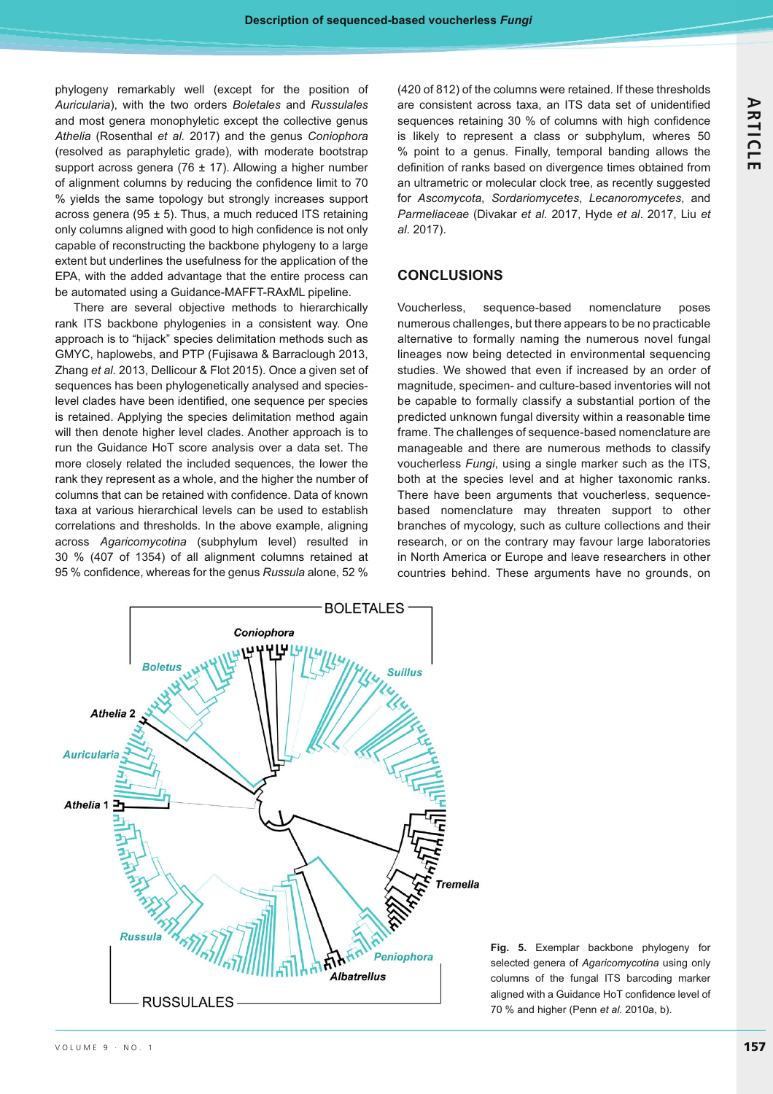phylogeny remarkably well (except for the position of *Auricularia*), with the two orders *Boletales* and *Russulales* and most genera monophyletic except the collective genus *Athelia* (Rosenthal *et al.* 2017) and the genus *Coniophora* (resolved as paraphyletic grade), with moderate bootstrap support across genera (76  $\pm$  17). Allowing a higher number of alignment columns by reducing the confidence limit to 70 % yields the same topology but strongly increases support across genera (95  $\pm$  5). Thus, a much reduced ITS retaining only columns aligned with good to high confidence is not only capable of reconstructing the backbone phylogeny to a large extent but underlines the usefulness for the application of the EPA, with the added advantage that the entire process can be automated using a Guidance-MAFFT-RAxML pipeline.

There are several objective methods to hierarchically rank ITS backbone phylogenies in a consistent way. One approach is to "hijack" species delimitation methods such as GMYC, haplowebs, and PTP (Fujisawa & Barraclough 2013, Zhang *et al.* 2013, Dellicour & Flot 2015). Once a given set of sequences has been phylogenetically analysed and species level clades have been identified, one sequence per species is retained. Applying the species delimitation method again will then denote higher level clades. Another approach is to run the Guidance HoT score analysis over a data set. The more closely related the included sequences, the lower the rank they represent as a whole, and the higher the number of columns that can be retained with confidence. Data of known taxa at various hierarchical levels can be used to establish correlations and thresholds. In the above example, aligning across *Agaricomycotina* (subphylum level) resulted in 30 % (407 of 1354) of all alignment columns retained at 95 % confidence, whereas for the genus *Russula* alone, 52 % (420 of 812) of the columns were retained. If these thresholds are consistent across taxa, an ITS data set of unidentified sequences retaining 30 % of columns with high confidence is likely to represent a class or subphylum, wheres 50 % point to a genus. Finally, temporal banding allows the definition of ranks based on divergence times obtained from an ultrametric or molecular clock tree, as recently suggested for *Ascomycota*, *Sordariomycetes*, *Lecanoromycetes*, and *Parmeliaceae* (Divakar *et al.* 2017, Hyde *et al*. 2017, Liu *et al*. 2017).

## **CONCLUSIONS**

Voucherless, sequence-based nomenclature poses numerous challenges, but there appears to be no practicable alternative to formally naming the numerous novel fungal lineages now being detected in environmental sequencing studies. We showed that even if increased by an order of magnitude, specimen- and culture-based inventories will not be capable to formally classify a substantial portion of the predicted unknown fungal diversity within a reasonable time frame. The challenges of sequence-based nomenclature are manageable and there are numerous methods to classify voucherless *Fungi*, using a single marker such as the ITS, both at the species level and at higher taxonomic ranks. There have been arguments that voucherless, sequencebased nomenclature may threaten support to other branches of mycology, such as culture collections and their research, or on the contrary may favour large laboratories in North America or Europe and leave researchers in other countries behind. These arguments have no grounds, on



**Fig. 5.** Exemplar backbone phylogeny for selected genera of *Agaricomycotina* using only columns of the fungal ITS barcoding marker aligned with a Guidance HoT confidence level of 70 % and higher (Penn *et al.* 2010a, b).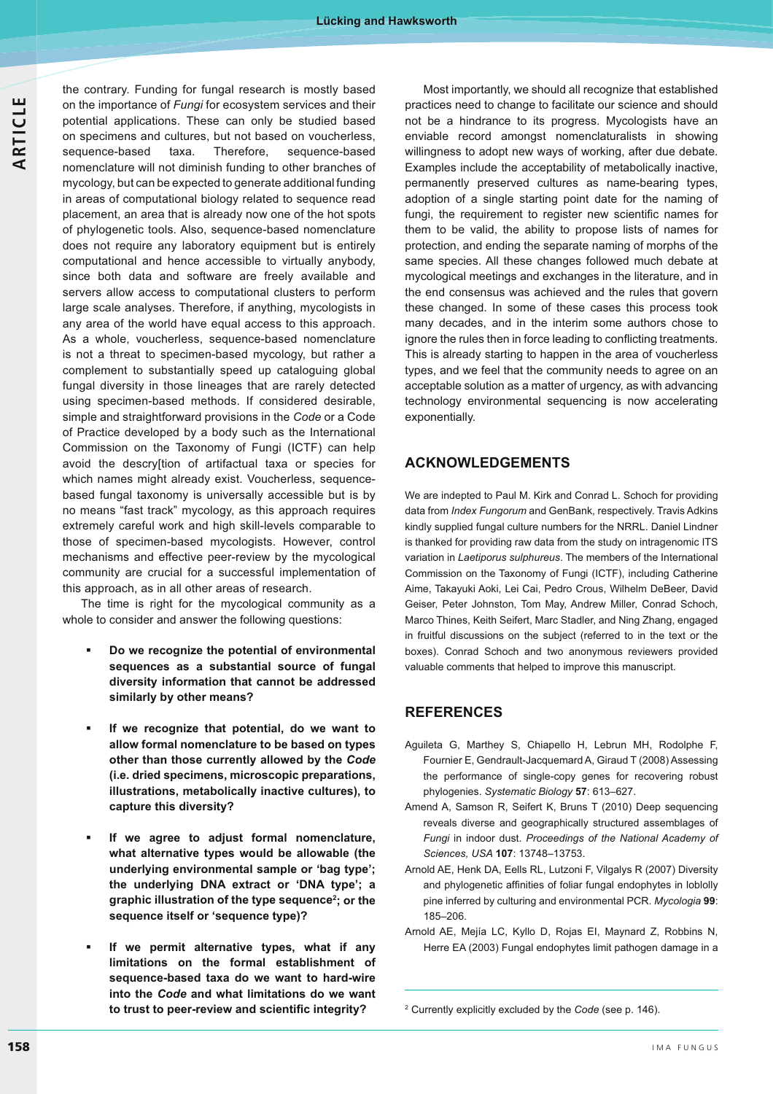the contrary. Funding for fungal research is mostly based on the importance of *Fungi* for ecosystem services and their potential applications. These can only be studied based on specimens and cultures, but not based on voucherless, sequence-based taxa. Therefore, sequence-based nomenclature will not diminish funding to other branches of mycology, but can be expected to generate additional funding in areas of computational biology related to sequence read placement, an area that is already now one of the hot spots of phylogenetic tools. Also, sequence-based nomenclature does not require any laboratory equipment but is entirely computational and hence accessible to virtually anybody, since both data and software are freely available and servers allow access to computational clusters to perform large scale analyses. Therefore, if anything, mycologists in any area of the world have equal access to this approach. As a whole, voucherless, sequence-based nomenclature is not a threat to specimen-based mycology, but rather a complement to substantially speed up cataloguing global fungal diversity in those lineages that are rarely detected using specimen-based methods. If considered desirable, simple and straightforward provisions in the *Code* or a Code of Practice developed by a body such as the International Commission on the Taxonomy of Fungi (ICTF) can help avoid the descry[tion of artifactual taxa or species for which names might already exist. Voucherless, sequencebased fungal taxonomy is universally accessible but is by no means "fast track" mycology, as this approach requires extremely careful work and high skill-levels comparable to those of specimen-based mycologists. However, control mechanisms and effective peer-review by the mycological community are crucial for a successful implementation of this approach, as in all other areas of research.

The time is right for the mycological community as a whole to consider and answer the following questions:

- - **Do we recognize the potential of environmental sequences as a substantial source of fungal diversity information that cannot be addressed similarly by other means?**
- - **If we recognize that potential, do we want to allow formal nomenclature to be based on types other than those currently allowed by the** *Code* **(i.e. dried specimens, microscopic preparations, illustrations, metabolically inactive cultures), to capture this diversity?**
- - **If we agree to adjust formal nomenclature, what alternative types would be allowable (the underlying environmental sample or 'bag type'; the underlying DNA extract or 'DNA type'; a graphic illustration of the type sequence2 ; or the sequence itself or 'sequence type)?**
- - **If we permit alternative types, what if any limitations on the formal establishment of sequence-based taxa do we want to hard-wire into the** *Code* **and what limitations do we want**  to trust to peer-review and scientific integrity?

Most importantly, we should all recognize that established practices need to change to facilitate our science and should not be a hindrance to its progress. Mycologists have an enviable record amongst nomenclaturalists in showing willingness to adopt new ways of working, after due debate. Examples include the acceptability of metabolically inactive, permanently preserved cultures as name-bearing types, adoption of a single starting point date for the naming of fungi, the requirement to register new scientific names for them to be valid, the ability to propose lists of names for protection, and ending the separate naming of morphs of the same species. All these changes followed much debate at mycological meetings and exchanges in the literature, and in the end consensus was achieved and the rules that govern these changed. In some of these cases this process took many decades, and in the interim some authors chose to ignore the rules then in force leading to conflicting treatments. This is already starting to happen in the area of voucherless types, and we feel that the community needs to agree on an acceptable solution as a matter of urgency, as with advancing technology environmental sequencing is now accelerating exponentially.

## **ACKNOWLEDGEMENTS**

We are indepted to Paul M. Kirk and Conrad L. Schoch for providing data from *Index Fungorum* and GenBank, respectively. Travis Adkins kindly supplied fungal culture numbers for the NRRL. Daniel Lindner is thanked for providing raw data from the study on intragenomic ITS variation in *Laetiporus sulphureus*. The members of the International Commission on the Taxonomy of Fungi (ICTF), including Catherine Aime, Takayuki Aoki, Lei Cai, Pedro Crous, Wilhelm DeBeer, David Geiser, Peter Johnston, Tom May, Andrew Miller, Conrad Schoch, Marco Thines, Keith Seifert, Marc Stadler, and Ning Zhang, engaged in fruitful discussions on the subject (referred to in the text or the boxes). Conrad Schoch and two anonymous reviewers provided valuable comments that helped to improve this manuscript.

## **REFERENCES**

- Aguileta G, Marthey S, Chiapello H, Lebrun MH, Rodolphe F, Fournier E, Gendrault-Jacquemard A, Giraud T (2008) Assessing the performance of single-copy genes for recovering robust phylogenies. *Systematic Biology* **57**: 613–627.
- Amend A, Samson R, Seifert K, Bruns T (2010) Deep sequencing reveals diverse and geographically structured assemblages of *Fungi* in indoor dust. *Proceedings of the National Academy of Sciences, USA* **107**: 13748–13753.
- Arnold AE, Henk DA, Eells RL, Lutzoni F, Vilgalys R (2007) Diversity and phylogenetic affinities of foliar fungal endophytes in loblolly pine inferred by culturing and environmental PCR. *Mycologia* **99**: 185–206.
- Arnold AE, Mejía LC, Kyllo D, Rojas EI, Maynard Z, Robbins N, Herre EA (2003) Fungal endophytes limit pathogen damage in a

<sup>2</sup> Currently explicitly excluded by the *Code* (see p. 146).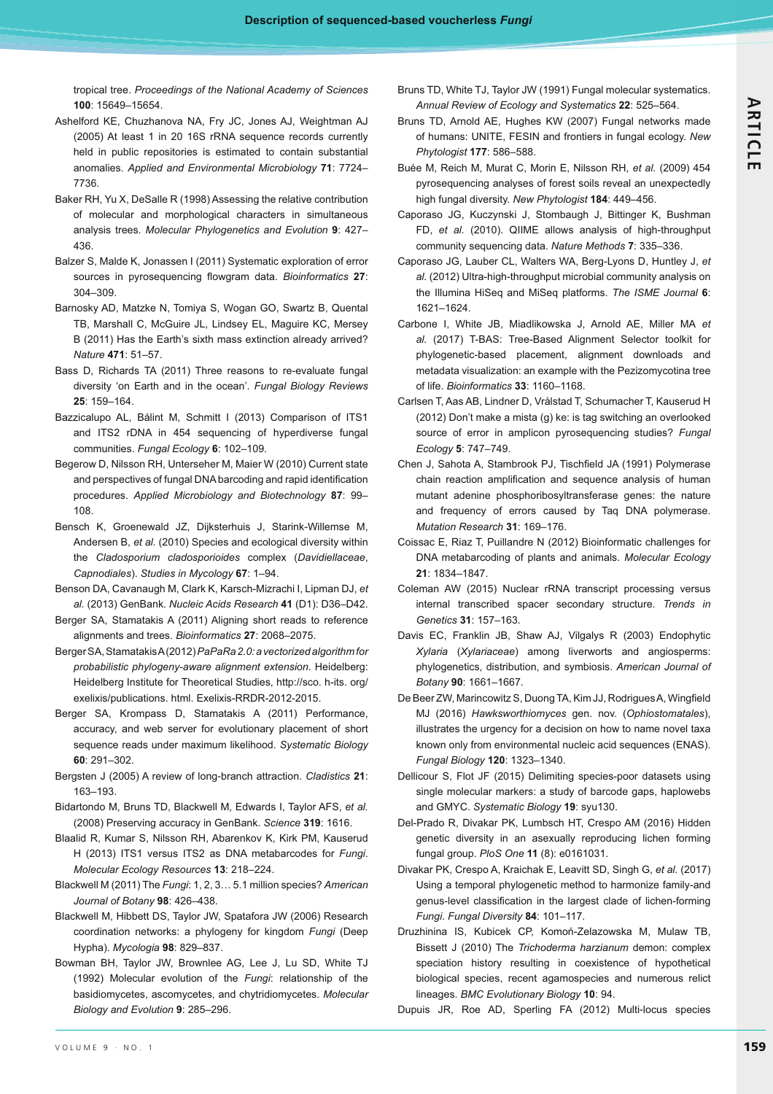tropical tree. *Proceedings of the National Academy of Sciences* **100**: 15649–15654.

- Ashelford KE, Chuzhanova NA, Fry JC, Jones AJ, Weightman AJ (2005) At least 1 in 20 16S rRNA sequence records currently held in public repositories is estimated to contain substantial anomalies. *Applied and Environmental Microbiology* **71**: 7724– 7736.
- Baker RH, Yu X, DeSalle R (1998) Assessing the relative contribution of molecular and morphological characters in simultaneous analysis trees. *Molecular Phylogenetics and Evolution* **9**: 427– 436.
- Balzer S, Malde K, Jonassen I (2011) Systematic exploration of error sources in pyrosequencing flowgram data. Bioinformatics 27: 304–309.
- Barnosky AD, Matzke N, Tomiya S, Wogan GO, Swartz B, Quental TB, Marshall C, McGuire JL, Lindsey EL, Maguire KC, Mersey B (2011) Has the Earth's sixth mass extinction already arrived? *Nature* **471**: 51–57.
- Bass D, Richards TA (2011) Three reasons to re-evaluate fungal diversity 'on Earth and in the ocean'. *Fungal Biology Reviews* **25**: 159–164.
- Bazzicalupo AL, Bálint M, Schmitt I (2013) Comparison of ITS1 and ITS2 rDNA in 454 sequencing of hyperdiverse fungal communities. *Fungal Ecology* **6**: 102–109.
- Begerow D, Nilsson RH, Unterseher M, Maier W (2010) Current state and perspectives of fungal DNA barcoding and rapid identification procedures. *Applied Microbiology and Biotechnology* **87**: 99– 108.
- Bensch K, Groenewald JZ, Dijksterhuis J, Starink-Willemse M, Andersen B, *et al.* (2010) Species and ecological diversity within the *Cladosporium cladosporioides* complex (*Davidiellaceae*, *Capnodiales*). *Studies in Mycology* **67**: 1–94.
- Benson DA, Cavanaugh M, Clark K, Karsch-Mizrachi I, Lipman DJ, *et al.* (2013) GenBank. *Nucleic Acids Research* **41** (D1): D36–D42.
- Berger SA, Stamatakis A (2011) Aligning short reads to reference alignments and trees. *Bioinformatics* **27**: 2068–2075.
- Berger SA, Stamatakis A (2012) *PaPaRa 2.0: a vectorized algorithm for probabilistic phylogeny-aware alignment extension*. Heidelberg: Heidelberg Institute for Theoretical Studies, http://sco. h-its. org/ exelixis/publications. html. Exelixis-RRDR-2012-2015.
- Berger SA, Krompass D, Stamatakis A (2011) Performance, accuracy, and web server for evolutionary placement of short sequence reads under maximum likelihood. *Systematic Biology* **60**: 291–302.
- Bergsten J (2005) A review of long(branch attraction. *Cladistics* **21**: 163–193.
- Bidartondo M, Bruns TD, Blackwell M, Edwards I, Taylor AFS, *et al.*  (2008) Preserving accuracy in GenBank. *Science* **319**: 1616.
- Blaalid R, Kumar S, Nilsson RH, Abarenkov K, Kirk PM, Kauserud H (2013) ITS1 versus ITS2 as DNA metabarcodes for *Fungi*. *Molecular Ecology Resources* **13**: 218–224.
- Blackwell M (2011) The *Fungi*: 1, 2, 3… 5.1 million species? *American Journal of Botany* **98**: 426–438.
- Blackwell M, Hibbett DS, Taylor JW, Spatafora JW (2006) Research coordination networks: a phylogeny for kingdom *Fungi* (Deep Hypha). *Mycologia* **98**: 829–837.
- Bowman BH, Taylor JW, Brownlee AG, Lee J, Lu SD, White TJ (1992) Molecular evolution of the *Fungi*: relationship of the basidiomycetes, ascomycetes, and chytridiomycetes. *Molecular Biology and Evolution* **9**: 285–296.
- Bruns TD, White TJ, Taylor JW (1991) Fungal molecular systematics. *Annual Review of Ecology and Systematics* **22**: 525–564.
- Bruns TD, Arnold AE, Hughes KW (2007) Fungal networks made of humans: UNITE, FESIN and frontiers in fungal ecology. *New Phytologist* **177**: 586–588.
- Buée M, Reich M, Murat C, Morin E, Nilsson RH, *et al.* (2009) 454 pyrosequencing analyses of forest soils reveal an unexpectedly high fungal diversity. *New Phytologist* **184**: 449–456.
- Caporaso JG, Kuczynski J, Stombaugh J, Bittinger K, Bushman FD, *et al.* (2010). QIIME allows analysis of high-throughput community sequencing data. *Nature Methods* **7**: 335–336.
- Caporaso JG, Lauber CL, Walters WA, Berg-Lyons D, Huntley J, *et al.* (2012) Ultra-high-throughput microbial community analysis on the Illumina HiSeq and MiSeq platforms. The ISME Journal 6: 1621–1624.
- Carbone I, White JB, Miadlikowska J, Arnold AE, Miller MA *et al.* (2017) T-BAS: Tree-Based Alignment Selector toolkit for phylogenetic-based placement, alignment downloads and metadata visualization: an example with the Pezizomycotina tree of life. *Bioinformatics* **33**: 1160–1168.
- Carlsen T, Aas AB, Lindner D, Vrålstad T, Schumacher T, Kauserud H (2012) Don't make a mista (g) ke: is tag switching an overlooked source of error in amplicon pyrosequencing studies? *Fungal Ecology* **5**: 747–749.
- Chen J, Sahota A, Stambrook PJ, Tischfield JA (1991) Polymerase chain reaction amplification and sequence analysis of human mutant adenine phosphoribosyltransferase genes: the nature and frequency of errors caused by Taq DNA polymerase. *Mutation Research* **31**: 169–176.
- Coissac E, Riaz T, Puillandre N (2012) Bioinformatic challenges for DNA metabarcoding of plants and animals. *Molecular Ecology* **21**: 1834–1847.
- Coleman AW (2015) Nuclear rRNA transcript processing versus internal transcribed spacer secondary structure. *Trends in Genetics* **31**: 157–163.
- Davis EC, Franklin JB, Shaw AJ, Vilgalys R (2003) Endophytic *Xylaria* (*Xylariaceae*) among liverworts and angiosperms: phylogenetics, distribution, and symbiosis. *American Journal of Botany* **90**: 1661–1667.
- De Beer ZW, Marincowitz S, Duong TA, Kim JJ, Rodrigues A, Wingfield MJ (2016) *Hawksworthiomyces* gen. nov. (*Ophiostomatales*), illustrates the urgency for a decision on how to name novel taxa known only from environmental nucleic acid sequences (ENAS). *Fungal Biology* **120**: 1323–1340.
- Dellicour S, Flot JF (2015) Delimiting species-poor datasets using single molecular markers: a study of barcode gaps, haplowebs and GMYC. *Systematic Biology* **19**: syu130.
- Del-Prado R, Divakar PK, Lumbsch HT, Crespo AM (2016) Hidden genetic diversity in an asexually reproducing lichen forming fungal group. *PloS One* **11** (8): e0161031.
- Divakar PK, Crespo A, Kraichak E, Leavitt SD, Singh G, *et al.* (2017) Using a temporal phylogenetic method to harmonize family-and genus-level classification in the largest clade of lichen-forming *Fungi*. *Fungal Diversity* **84**: 101–117.
- Druzhinina IS, Kubicek CP, Komoń-Zelazowska M, Mulaw TB, Bissett J (2010) The *Trichoderma harzianum* demon: complex speciation history resulting in coexistence of hypothetical biological species, recent agamospecies and numerous relict lineages. *BMC Evolutionary Biology* **10**: 94.

Dupuis JR, Roe AD, Sperling FA (2012) Multi-locus species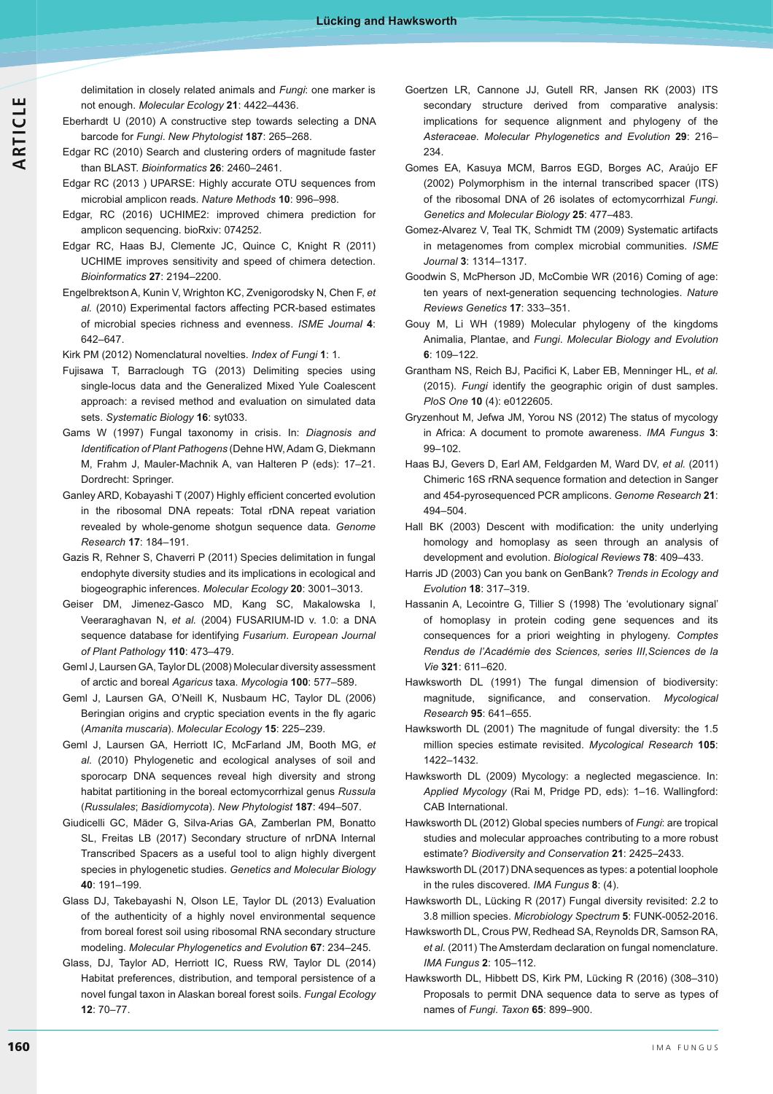delimitation in closely related animals and *Fungi*: one marker is not enough. *Molecular Ecology* **21**: 4422–4436.

- Eberhardt U (2010) A constructive step towards selecting a DNA barcode for *Fungi*. *New Phytologist* **187**: 265–268.
- Edgar RC (2010) Search and clustering orders of magnitude faster than BLAST. *Bioinformatics* **26**: 2460–2461.
- Edgar RC (2013 ) UPARSE: Highly accurate OTU sequences from microbial amplicon reads. *Nature Methods* **10**: 996–998.
- Edgar, RC (2016) UCHIME2: improved chimera prediction for amplicon sequencing. bioRxiv: 074252.
- Edgar RC, Haas BJ, Clemente JC, Quince C, Knight R (2011) UCHIME improves sensitivity and speed of chimera detection. *Bioinformatics* **27**: 2194–2200.
- Engelbrektson A, Kunin V, Wrighton KC, Zvenigorodsky N, Chen F, *et al.* (2010) Experimental factors affecting PCR-based estimates of microbial species richness and evenness. *ISME Journal* 4: 642–647.
- Kirk PM (2012) Nomenclatural novelties. Index of Fungi 1: 1.
- Fujisawa T, Barraclough TG (2013) Delimiting species using single-locus data and the Generalized Mixed Yule Coalescent approach: a revised method and evaluation on simulated data sets. *Systematic Biology* **16**: syt033.
- Gams W (1997) Fungal taxonomy in crisis. In: *Diagnosis and Identification of Plant Pathogens* (Dehne HW, Adam G, Diekmann M, Frahm J, Mauler-Machnik A, van Halteren P (eds): 17–21. Dordrecht: Springer.
- Ganley ARD, Kobayashi T (2007) Highly efficient concerted evolution in the ribosomal DNA repeats: Total rDNA repeat variation revealed by whole-genome shotgun sequence data. *Genome Research* **17**: 184–191.
- Gazis R, Rehner S, Chaverri P (2011) Species delimitation in fungal endophyte diversity studies and its implications in ecological and biogeographic inferences. *Molecular Ecology* **20**: 3001–3013.
- Geiser DM, Jimenez-Gasco MD, Kang SC, Makalowska I, Veeraraghavan N, *et al.* (2004) FUSARIUM-ID v. 1.0: a DNA sequence database for identifying *Fusarium*. *European Journal of Plant Pathology* **110**: 473–479.
- Geml J, Laursen GA, Taylor DL (2008) Molecular diversity assessment of arctic and boreal *Agaricus* taxa. *Mycologia* **100**: 577–589.
- Geml J, Laursen GA, O'Neill K, Nusbaum HC, Taylor DL (2006) Beringian origins and cryptic speciation events in the fly agaric (*Amanita muscaria*). *Molecular Ecology* **15**: 225–239.
- Geml J, Laursen GA, Herriott IC, McFarland JM, Booth MG, *et al.* (2010) Phylogenetic and ecological analyses of soil and sporocarp DNA sequences reveal high diversity and strong habitat partitioning in the boreal ectomycorrhizal genus *Russula* (*Russulales*; *Basidiomycota*). *New Phytologist* **187**: 494–507.
- Giudicelli GC, Mäder G, Silva-Arias GA, Zamberlan PM, Bonatto SL, Freitas LB (2017) Secondary structure of nrDNA Internal Transcribed Spacers as a useful tool to align highly divergent species in phylogenetic studies. *Genetics and Molecular Biology* **40**: 191–199.
- Glass DJ, Takebayashi N, Olson LE, Taylor DL (2013) Evaluation of the authenticity of a highly novel environmental sequence from boreal forest soil using ribosomal RNA secondary structure modeling. *Molecular Phylogenetics and Evolution* **67**: 234–245.
- Glass, DJ, Taylor AD, Herriott IC, Ruess RW, Taylor DL (2014) Habitat preferences, distribution, and temporal persistence of a novel fungal taxon in Alaskan boreal forest soils. *Fungal Ecology* **12**: 70–77.
- Goertzen LR, Cannone JJ, Gutell RR, Jansen RK (2003) ITS secondary structure derived from comparative analysis: implications for sequence alignment and phylogeny of the *Asteraceae*. *Molecular Phylogenetics and Evolution* **29**: 216– 234.
- Gomes EA, Kasuya MCM, Barros EGD, Borges AC, Araújo EF (2002) Polymorphism in the internal transcribed spacer (ITS) of the ribosomal DNA of 26 isolates of ectomycorrhizal *Fungi*. *Genetics and Molecular Biology* **25**: 477–483.
- Gomez-Alvarez V, Teal TK, Schmidt TM (2009) Systematic artifacts in metagenomes from complex microbial communities. *ISME Journal* **3**: 1314–1317.
- Goodwin S, McPherson JD, McCombie WR (2016) Coming of age: ten years of next-generation sequencing technologies. *Nature Reviews Genetics* **17**: 333–351.
- Gouy M, Li WH (1989) Molecular phylogeny of the kingdoms Animalia, Plantae, and *Fungi*. *Molecular Biology and Evolution* **6**: 109–122.
- Grantham NS, Reich BJ, Pacifici K, Laber EB, Menninger HL, et al. (2015). *Fungi* identify the geographic origin of dust samples. *PloS One* **10** (4): e0122605.
- Gryzenhout M, Jefwa JM, Yorou NS (2012) The status of mycology in Africa: A document to promote awareness. IMA Fungus 3: 99–102.
- Haas BJ, Gevers D, Earl AM, Feldgarden M, Ward DV, *et al.* (2011) Chimeric 16S rRNA sequence formation and detection in Sanger and 454-pyrosequenced PCR amplicons. *Genome Research* **21**: 494–504.
- Hall BK (2003) Descent with modification: the unity underlying homology and homoplasy as seen through an analysis of development and evolution. *Biological Reviews* **78**: 409–433.
- Harris JD (2003) Can you bank on GenBank? *Trends in Ecology and Evolution* **18**: 317–319.
- Hassanin A, Lecointre G, Tillier S (1998) The 'evolutionary signal' of homoplasy in protein coding gene sequences and its consequences for a priori weighting in phylogeny. *Comptes*  Rendus de l'Académie des Sciences, series III, Sciences de la *Vie* **321**: 611–620.
- Hawksworth DL (1991) The fungal dimension of biodiversity: magnitude, significance, and conservation. Mycological *Research* **95**: 641–655.
- Hawksworth DL (2001) The magnitude of fungal diversity: the 1.5 million species estimate revisited. *Mycological Research* **105**: 1422–1432.
- Hawksworth DL (2009) Mycology: a neglected megascience. In: *Applied Mycology* (Rai M, Pridge PD, eds): 1–16. Wallingford: CAB International.
- Hawksworth DL (2012) Global species numbers of *Fungi*: are tropical studies and molecular approaches contributing to a more robust estimate? *Biodiversity and Conservation* **21**: 2425–2433.
- Hawksworth DL (2017) DNA sequences as types: a potential loophole in the rules discovered. IMA Fungus 8: (4).
- Hawksworth DL, Lücking R (2017) Fungal diversity revisited: 2.2 to 3.8 million species. *Microbiology Spectrum* **5**: FUNK-0052-2016.
- Hawksworth DL, Crous PW, Redhead SA, Reynolds DR, Samson RA, *et al.* (2011) The Amsterdam declaration on fungal nomenclature. *IMA Fungus* 2: 105-112.
- Hawksworth DL, Hibbett DS, Kirk PM, Lücking R (2016) (308–310) Proposals to permit DNA sequence data to serve as types of names of *Fungi*. *Taxon* **65**: 899–900.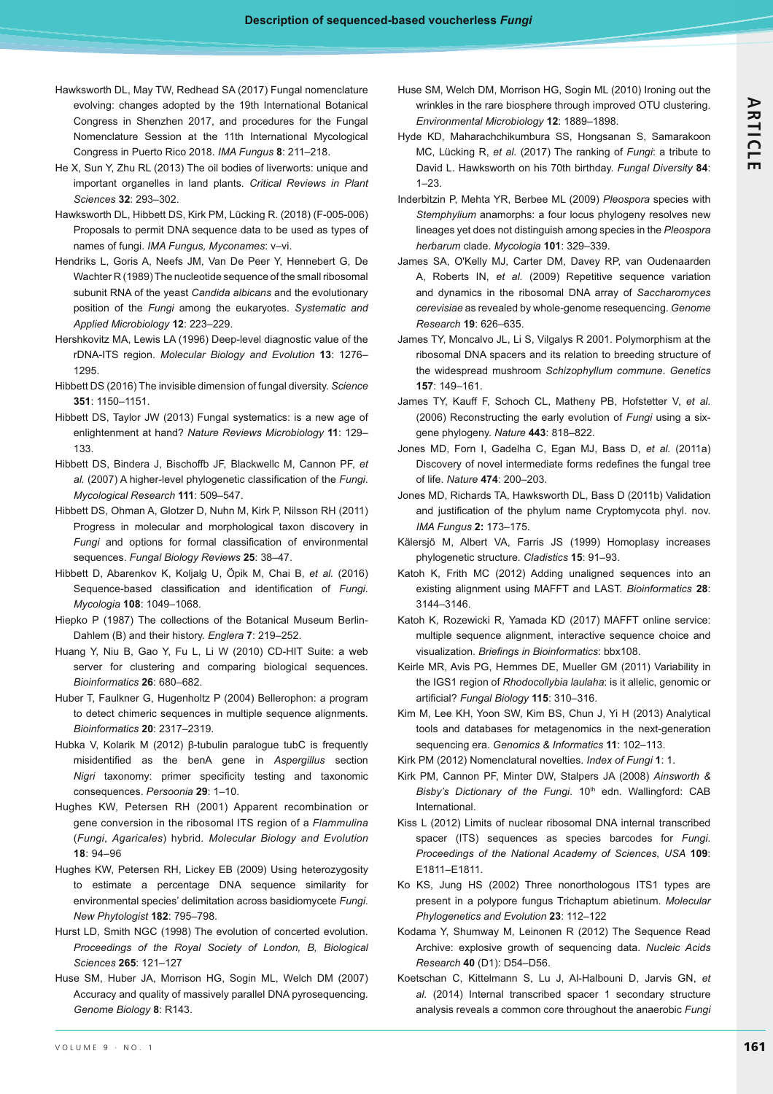- Hawksworth DL, May TW, Redhead SA (2017) Fungal nomenclature evolving: changes adopted by the 19th International Botanical Congress in Shenzhen 2017, and procedures for the Fungal Nomenclature Session at the 11th International Mycological Congress in Puerto Rico 2018. *IMA Fungus* 8: 211-218.
- He X, Sun Y, Zhu RL (2013) The oil bodies of liverworts: unique and important organelles in land plants. *Critical Reviews in Plant Sciences* **32**: 293–302.
- Hawksworth DL, Hibbett DS, Kirk PM, Lücking R. (2018) (F-005-006) Proposals to permit DNA sequence data to be used as types of names of fungi. IMA Fungus, Myconames: v-vi.
- Hendriks L, Goris A, Neefs JM, Van De Peer Y, Hennebert G, De Wachter R (1989) The nucleotide sequence of the small ribosomal subunit RNA of the yeast *Candida albicans* and the evolutionary position of the *Fungi* among the eukaryotes. *Systematic and Applied Microbiology* **12**: 223–229.
- Hershkovitz MA, Lewis LA (1996) Deep-level diagnostic value of the rDNA-ITS region. *Molecular Biology and Evolution* **13**: 1276– 1295.
- Hibbett DS (2016) The invisible dimension of fungal diversity. *Science* **351**: 1150–1151.
- Hibbett DS, Taylor JW (2013) Fungal systematics: is a new age of enlightenment at hand? *Nature Reviews Microbiology* **11**: 129– 133.
- Hibbett DS, Bindera J, Bischoffb JF, Blackwellc M, Cannon PF, *et*  al. (2007) A higher-level phylogenetic classification of the Fungi. *Mycological Research* **111**: 509–547.
- Hibbett DS, Ohman A, Glotzer D, Nuhn M, Kirk P, Nilsson RH (2011) Progress in molecular and morphological taxon discovery in Fungi and options for formal classification of environmental sequences. *Fungal Biology Reviews* **25**: 38–47.
- Hibbett D, Abarenkov K, Koljalg U, Öpik M, Chai B, *et al.* (2016) Sequence-based classification and identification of Fungi. *Mycologia* **108**: 1049–1068.
- Hiepko P (1987) The collections of the Botanical Museum Berlin-Dahlem (B) and their history. *Englera* **7**: 219–252.
- Huang Y, Niu B, Gao Y, Fu L, Li W (2010) CD-HIT Suite: a web server for clustering and comparing biological sequences. *Bioinformatics* **26**: 680–682.
- Huber T, Faulkner G, Hugenholtz P (2004) Bellerophon: a program to detect chimeric sequences in multiple sequence alignments. *Bioinformatics* **20**: 2317–2319.
- Hubka V, Kolarik M (2012)  $\beta$ -tubulin paralogue tubC is frequently misidentified as the benA gene in Aspergillus section Nigri taxonomy: primer specificity testing and taxonomic consequences. *Persoonia* **29**: 1–10.
- Hughes KW, Petersen RH (2001) Apparent recombination or gene conversion in the ribosomal ITS region of a *Flammulina* (*Fungi*, *Agaricales*) hybrid. *Molecular Biology and Evolution* **18**: 94–96
- Hughes KW, Petersen RH, Lickey EB (2009) Using heterozygosity to estimate a percentage DNA sequence similarity for environmental species' delimitation across basidiomycete *Fungi*. *New Phytologist* **182**: 795–798.
- Hurst LD, Smith NGC (1998) The evolution of concerted evolution. *Proceedings of the Royal Society of London, B, Biological Sciences* **265**: 121–127
- Huse SM, Huber JA, Morrison HG, Sogin ML, Welch DM (2007) Accuracy and quality of massively parallel DNA pyrosequencing. *Genome Biology* **8**: R143.
- Huse SM, Welch DM, Morrison HG, Sogin ML (2010) Ironing out the wrinkles in the rare biosphere through improved OTU clustering. *Environmental Microbiology* **12**: 1889–1898.
- Hyde KD, Maharachchikumbura SS, Hongsanan S, Samarakoon MC, Lücking R, *et al.* (2017) The ranking of *Fungi*: a tribute to David L. Hawksworth on his 70th birthday. *Fungal Diversity* **84**: 1–23.
- Inderbitzin P, Mehta YR, Berbee ML (2009) *Pleospora* species with *Stemphylium* anamorphs: a four locus phylogeny resolves new lineages yet does not distinguish among species in the *Pleospora herbarum* clade. *Mycologia* **101**: 329–339.
- James SA, O'Kelly MJ, Carter DM, Davey RP, van Oudenaarden A, Roberts IN, *et al.* (2009) Repetitive sequence variation and dynamics in the ribosomal DNA array of *Saccharomyces cerevisiae* as revealed by whole-genome resequencing. *Genome Research* **19**: 626–635.
- James TY, Moncalvo JL, Li S, Vilgalys R 2001. Polymorphism at the ribosomal DNA spacers and its relation to breeding structure of the widespread mushroom *Schizophyllum commune*. *Genetics* **157**: 149–161.
- James TY, Kauff F, Schoch CL, Matheny PB, Hofstetter V, *et al.*  (2006) Reconstructing the early evolution of *Fungi* using a sixgene phylogeny. *Nature* **443**: 818–822.
- Jones MD, Forn I, Gadelha C, Egan MJ, Bass D, *et al.* (2011a) Discovery of novel intermediate forms redefines the fungal tree of life. *Nature* **474**: 200–203.
- Jones MD, Richards TA, Hawksworth DL, Bass D (2011b) Validation and justification of the phylum name Cryptomycota phyl. nov. *IMA Fungus* 2: 173-175.
- Kälersjö M, Albert VA, Farris JS (1999) Homoplasy increases phylogenetic structure. *Cladistics* **15**: 91–93.
- Katoh K, Frith MC (2012) Adding unaligned sequences into an existing alignment using MAFFT and LAST. *Bioinformatics* **28**: 3144–3146.
- Katoh K, Rozewicki R, Yamada KD (2017) MAFFT online service: multiple sequence alignment, interactive sequence choice and visualization. *Briefings in Bioinformatics*: bbx108.
- Keirle MR, Avis PG, Hemmes DE, Mueller GM (2011) Variability in the IGS1 region of *Rhodocollybia laulaha*: is it allelic, genomic or þ-*Fungal Biology* **115**: 310–316.
- Kim M, Lee KH, Yoon SW, Kim BS, Chun J, Yi H (2013) Analytical tools and databases for metagenomics in the next-generation sequencing era. Genomics & Informatics 11: 102-113.
- Kirk PM (2012) Nomenclatural novelties. Index of Fungi 1: 1.
- Kirk PM, Cannon PF, Minter DW, Stalpers JA (2008) *Ainsworth & Bisby's Dictionary of the Fungi*. 10<sup>th</sup> edn. Wallingford: CAB International.
- Kiss L (2012) Limits of nuclear ribosomal DNA internal transcribed spacer (ITS) sequences as species barcodes for *Fungi*. *Proceedings of the National Academy of Sciences, USA* **109**: E1811–E1811.
- Ko KS, Jung HS (2002) Three nonorthologous ITS1 types are present in a polypore fungus Trichaptum abietinum. *Molecular Phylogenetics and Evolution* **23**: 112–122
- Kodama Y, Shumway M, Leinonen R (2012) The Sequence Read Archive: explosive growth of sequencing data. *Nucleic Acids Research* **40** (D1): D54–D56.
- Koetschan C, Kittelmann S, Lu J, Al-Halbouni D, Jarvis GN, *et al.* (2014) Internal transcribed spacer 1 secondary structure analysis reveals a common core throughout the anaerobic *Fungi*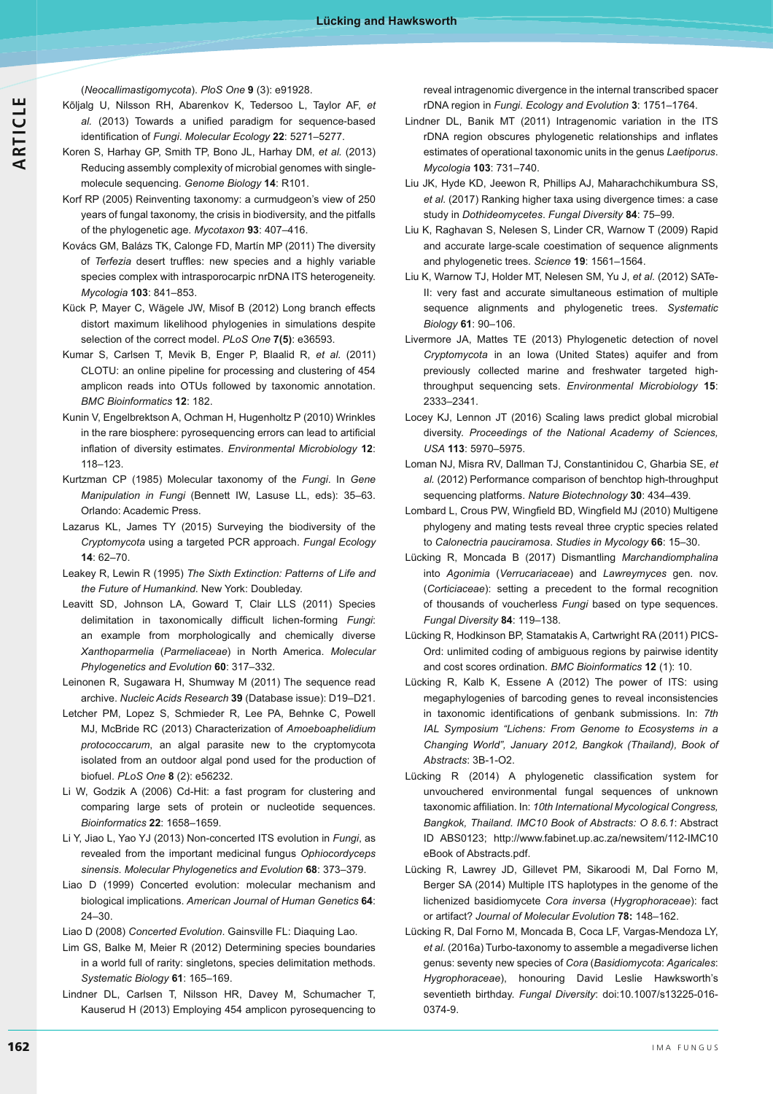**ARTICLE**

(*Neocallimastigomycota*). *PloS One* **9** (3): e91928.

- Kõljalg U, Nilsson RH, Abarenkov K, Tedersoo L, Taylor AF, *et*  al. (2013) Towards a unified paradigm for sequence-based identification of Fungi. Molecular Ecology 22: 5271–5277.
- Koren S, Harhay GP, Smith TP, Bono JL, Harhay DM, *et al.* (2013) Reducing assembly complexity of microbial genomes with singlemolecule sequencing. *Genome Biology* **14**: R101.
- Korf RP (2005) Reinventing taxonomy: a curmudgeon's view of 250 years of fungal taxonomy, the crisis in biodiversity, and the pitfalls of the phylogenetic age. *Mycotaxon* **93**: 407–416.
- Kovács GM, Balázs TK, Calonge FD, Martín MP (2011) The diversity of Terfezia desert truffles: new species and a highly variable species complex with intrasporocarpic nrDNA ITS heterogeneity. *Mycologia* **103**: 841–853.
- Kück P, Mayer C, Wägele JW, Misof B (2012) Long branch effects distort maximum likelihood phylogenies in simulations despite selection of the correct model. *PLoS One* **7(5)**: e36593.
- Kumar S, Carlsen T, Mevik B, Enger P, Blaalid R, *et al.* (2011) CLOTU: an online pipeline for processing and clustering of 454 amplicon reads into OTUs followed by taxonomic annotation. *BMC Bioinformatics* **12**: 182.
- Kunin V, Engelbrektson A, Ochman H, Hugenholtz P (2010) Wrinkles in the rare biosphere: pyrosequencing errors can lead to artificial inflation of diversity estimates. Environmental Microbiology 12: 118–123.
- Kurtzman CP (1985) Molecular taxonomy of the *Fungi*. In *Gene Manipulation in Fungi* (Bennett IW, Lasuse LL, eds): 35–63. Orlando: Academic Press.
- Lazarus KL, James TY (2015) Surveying the biodiversity of the *Cryptomycota* using a targeted PCR approach. *Fungal Ecology* **14**: 62–70.
- Leakey R, Lewin R (1995) *The Sixth Extinction: Patterns of Life and the Future of Humankind*. New York: Doubleday.
- Leavitt SD, Johnson LA, Goward T, Clair LLS (2011) Species delimitation in taxonomically difficult lichen-forming Fungi: an example from morphologically and chemically diverse *Xanthoparmelia* (*Parmeliaceae*) in North America. *Molecular Phylogenetics and Evolution* **60**: 317–332.
- Leinonen R, Sugawara H, Shumway M (2011) The sequence read archive. *Nucleic Acids Research* **39** (Database issue): D19–D21.
- Letcher PM, Lopez S, Schmieder R, Lee PA, Behnke C, Powell MJ, McBride RC (2013) Characterization of *Amoeboaphelidium protococcarum*, an algal parasite new to the cryptomycota isolated from an outdoor algal pond used for the production of biofuel. *PLoS One* **8** (2): e56232.
- Li W, Godzik A (2006) Cd-Hit: a fast program for clustering and comparing large sets of protein or nucleotide sequences. *Bioinformatics* **22**: 1658–1659.
- Li Y, Jiao L, Yao YJ (2013) Non-concerted ITS evolution in *Fungi*, as revealed from the important medicinal fungus *Ophiocordyceps sinensis*. *Molecular Phylogenetics and Evolution* **68**: 373–379.
- Liao D (1999) Concerted evolution: molecular mechanism and biological implications. *American Journal of Human Genetics* **64**: 24–30.
- Liao D (2008) *Concerted Evolution*. Gainsville FL: Diaquing Lao.
- Lim GS, Balke M, Meier R (2012) Determining species boundaries in a world full of rarity: singletons, species delimitation methods. *Systematic Biology* **61**: 165–169.
- Lindner DL, Carlsen T, Nilsson HR, Davey M, Schumacher T, Kauserud H (2013) Employing 454 amplicon pyrosequencing to

reveal intragenomic divergence in the internal transcribed spacer rDNA region in *Fungi*. *Ecology and Evolution* **3**: 1751–1764.

- Lindner DL, Banik MT (2011) Intragenomic variation in the ITS rDNA region obscures phylogenetic relationships and inflates estimates of operational taxonomic units in the genus *Laetiporus*. *Mycologia* **103**: 731–740.
- Liu JK, Hyde KD, Jeewon R, Phillips AJ, Maharachchikumbura SS, *et al.* (2017) Ranking higher taxa using divergence times: a case study in *Dothideomycetes*. *Fungal Diversity* **84**: 75–99.
- Liu K, Raghavan S, Nelesen S, Linder CR, Warnow T (2009) Rapid and accurate large-scale coestimation of sequence alignments and phylogenetic trees. *Science* **19**: 1561–1564.
- Liu K, Warnow TJ, Holder MT, Nelesen SM, Yu J, *et al.* (2012) SATe-II: very fast and accurate simultaneous estimation of multiple sequence alignments and phylogenetic trees. *Systematic Biology* **61**: 90–106.
- Livermore JA, Mattes TE (2013) Phylogenetic detection of novel *Cryptomycota* in an Iowa (United States) aquifer and from previously collected marine and freshwater targeted highthroughput sequencing sets. *Environmental Microbiology* **15**: 2333–2341.
- Locey KJ, Lennon JT (2016) Scaling laws predict global microbial diversity. *Proceedings of the National Academy of Sciences, USA* **113**: 5970–5975.
- Loman NJ, Misra RV, Dallman TJ, Constantinidou C, Gharbia SE, *et al.* (2012) Performance comparison of benchtop high-throughput sequencing platforms. *Nature Biotechnology* **30**: 434–439.
- Lombard L, Crous PW, Wingfield BD, Wingfield MJ (2010) Multigene phylogeny and mating tests reveal three cryptic species related to *Calonectria pauciramosa*. *Studies in Mycology* **66**: 15–30.
- Lücking R, Moncada B (2017) Dismantling *Marchandiomphalina* into *Agonimia* (*Verrucariaceae*) and *Lawreymyces* gen. nov. (*Corticiaceae*): setting a precedent to the formal recognition of thousands of voucherless *Fungi* based on type sequences. *Fungal Diversity* **84**: 119–138.
- Lücking R, Hodkinson BP, Stamatakis A, Cartwright RA (2011) PICS-Ord: unlimited coding of ambiguous regions by pairwise identity and cost scores ordination. *BMC Bioinformatics* **12** (1): 10.
- Lücking R, Kalb K, Essene A (2012) The power of ITS: using megaphylogenies of barcoding genes to reveal inconsistencies in taxonomic identifications of genbank submissions. In: 7th IAL Symposium "Lichens: From Genome to Ecosystems in a *Changing World", January 2012, Bangkok (Thailand), Book of Abstracts*: 3B-1-O2.
- Lücking R (2014) A phylogenetic classification system for unvouchered environmental fungal sequences of unknown taxonomic affiliation. In: 10th International Mycological Congress, Bangkok, Thailand. IMC10 Book of Abstracts: O 8.6.1: Abstract ID ABS0123; http://www.fabinet.up.ac.za/newsitem/112-IMC10 eBook of Abstracts.pdf.
- Lücking R, Lawrey JD, Gillevet PM, Sikaroodi M, Dal Forno M, Berger SA (2014) Multiple ITS haplotypes in the genome of the lichenized basidiomycete *Cora inversa* (*Hygrophoraceae*): fact or artifact? *Journal of Molecular Evolution* **78:** 148–162.
- Lücking R, Dal Forno M, Moncada B, Coca LF, Vargas-Mendoza LY, *et al.* (2016a) Turbo-taxonomy to assemble a megadiverse lichen genus: seventy new species of *Cora* (*Basidiomycota*: *Agaricales*: *Hygrophoraceae*), honouring David Leslie Hawksworth's seventieth birthday. *Fungal Diversity*: doi:10.1007/s13225-016- 0374-9.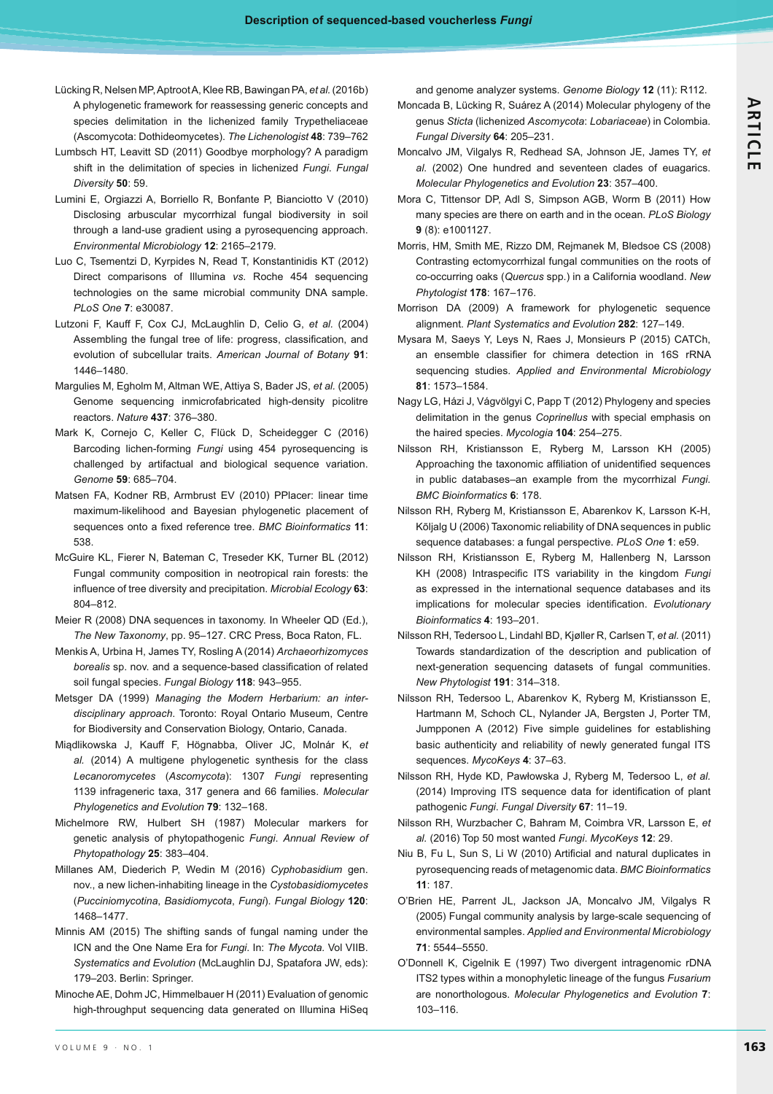- Lücking R, Nelsen MP, Aptroot A, Klee RB, Bawingan PA, *et al.* (2016b) A phylogenetic framework for reassessing generic concepts and species delimitation in the lichenized family Trypetheliaceae (Ascomycota: Dothideomycetes). *The Lichenologist* **48**: 739–762
- Lumbsch HT, Leavitt SD (2011) Goodbye morphology? A paradigm shift in the delimitation of species in lichenized *Fungi*. *Fungal Diversity* **50**: 59.
- Lumini E, Orgiazzi A, Borriello R, Bonfante P, Bianciotto V (2010) Disclosing arbuscular mycorrhizal fungal biodiversity in soil through a land-use gradient using a pyrosequencing approach. *Environmental Microbiology* **12**: 2165–2179.
- Luo C, Tsementzi D, Kyrpides N, Read T, Konstantinidis KT (2012) Direct comparisons of Illumina *vs*. Roche 454 sequencing technologies on the same microbial community DNA sample. *PLoS One* **7**: e30087.
- Lutzoni F, Kauff F, Cox CJ, McLaughlin D, Celio G, *et al.* (2004) Assembling the fungal tree of life: progress, classification, and evolution of subcellular traits. *American Journal of Botany* **91**: 1446–1480.
- Margulies M, Egholm M, Altman WE, Attiya S, Bader JS, *et al.* (2005) Genome sequencing inmicrofabricated high-density picolitre reactors. *Nature* **437**: 376–380.
- Mark K, Cornejo C, Keller C, Flück D, Scheidegger C (2016) Barcoding lichen-forming *Fungi* using 454 pyrosequencing is challenged by artifactual and biological sequence variation. *Genome* **59**: 685–704.
- Matsen FA, Kodner RB, Armbrust EV (2010) PPlacer: linear time maximum-likelihood and Bayesian phylogenetic placement of sequences onto a fixed reference tree. BMC Bioinformatics 11: 538.
- McGuire KL, Fierer N, Bateman C, Treseder KK, Turner BL (2012) Fungal community composition in neotropical rain forests: the influence of tree diversity and precipitation. Microbial Ecology 63: 804–812.
- Meier R (2008) DNA sequences in taxonomy. In Wheeler QD (Ed.), *The New Taxonomy*, pp. 95–127. CRC Press, Boca Raton, FL.
- Menkis A, Urbina H, James TY, Rosling A (2014) *Archaeorhizomyces*  borealis sp. nov. and a sequence-based classification of related soil fungal species. *Fungal Biology* **118**: 943–955.
- Metsger DA (1999) *Managing the Modern Herbarium: an interdisciplinary approach*. Toronto: Royal Ontario Museum, Centre for Biodiversity and Conservation Biology, Ontario, Canada.
- Miądlikowska J, Kauff F, Högnabba, Oliver JC, Molnár K, et *al.* (2014) A multigene phylogenetic synthesis for the class *Lecanoromycetes* (*Ascomycota*): 1307 *Fungi* representing 1139 infrageneric taxa, 317 genera and 66 families. *Molecular Phylogenetics and Evolution* **79**: 132–168.
- Michelmore RW, Hulbert SH (1987) Molecular markers for genetic analysis of phytopathogenic *Fungi*. *Annual Review of Phytopathology* **25**: 383–404.
- Millanes AM, Diederich P, Wedin M (2016) *Cyphobasidium* gen. nov., a new lichen-inhabiting lineage in the *Cystobasidiomycetes* (*Pucciniomycotina*, *Basidiomycota*, *Fungi*). *Fungal Biology* **120**: 1468–1477.
- Minnis AM (2015) The shifting sands of fungal naming under the ICN and the One Name Era for *Fungi*. In: *The Mycota.* Vol VIIB. *Systematics and Evolution* (McLaughlin DJ, Spatafora JW, eds): 179–203. Berlin: Springer.
- Minoche AE, Dohm JC, Himmelbauer H (2011) Evaluation of genomic high-throughput sequencing data generated on Illumina HiSeq

and genome analyzer systems. *Genome Biology* **12** (11): R112.

- Moncada B, Lücking R, Suárez A (2014) Molecular phylogeny of the genus *Sticta* (lichenized *Asco mycota*: *Lobariaceae*) in Colombia. *Fungal Diversity* **64**: 205–231.
- Moncalvo JM, Vilgalys R, Redhead SA, Johnson JE, James TY, *et al.* (2002) One hundred and seventeen clades of euagarics. *Molecular Phylogenetics and Evolution* **23**: 357–400.
- Mora C, Tittensor DP, Adl S, Simpson AGB, Worm B (2011) How many species are there on earth and in the ocean. *PLoS Biology* **9** (8): e1001127.
- Morris, HM, Smith ME, Rizzo DM, Rejmanek M, Bledsoe CS (2008) Contrasting ectomycorrhizal fungal communities on the roots of co-occurring oaks (*Quercus* spp.) in a California woodland. *New Phytologist* **178**: 167–176.
- Morrison DA (2009) A framework for phylogenetic sequence alignment. *Plant Systematics and Evolution* **282**: 127–149.
- Mysara M, Saeys Y, Leys N, Raes J, Monsieurs P (2015) CATCh, an ensemble classifier for chimera detection in 16S rRNA sequencing studies. *Applied and Environmental Microbiology* **81**: 1573–1584.
- Nagy LG, Házi J, Vágvölgyi C, Papp T (2012) Phylogeny and species delimitation in the genus *Coprinellus* with special emphasis on the haired species. *Mycologia* **104**: 254–275.
- Nilsson RH, Kristiansson E, Ryberg M, Larsson KH (2005) Approaching the taxonomic affiliation of unidentified sequences in public databases–an example from the mycorrhizal *Fungi*. *BMC Bioinformatics* **6**: 178.
- Nilsson RH, Ryberg M, Kristiansson E, Abarenkov K, Larsson K-H, Kõljalg U (2006) Taxonomic reliability of DNA sequences in public sequence databases: a fungal perspective. *PLoS One* **1**: e59.
- Nilsson RH, Kristiansson E, Ryberg M, Hallenberg N, Larsson KH (2008) Intraspecific ITS variability in the kingdom Fungi as expressed in the international sequence databases and its implications for molecular species identification. Evolutionary *Bioinformatics* **4**: 193–201.
- Nilsson RH, Tedersoo L, Lindahl BD, Kjøller R, Carlsen T, *et al.* (2011) Towards standardization of the description and publication of next-generation sequencing datasets of fungal communities. *New Phytologist* **191**: 314–318.
- Nilsson RH, Tedersoo L, Abarenkov K, Ryberg M, Kristiansson E, Hartmann M, Schoch CL, Nylander JA, Bergsten J, Porter TM, Jumpponen A (2012) Five simple guidelines for establishing basic authenticity and reliability of newly generated fungal ITS sequences. *MycoKeys* **4**: 37–63.
- Nilsson RH, Hyde KD, Pawłowska J, Ryberg M, Tedersoo L, et al. (2014) Improving ITS sequence data for identification of plant pathogenic *Fungi*. *Fungal Diversity* **67**: 11–19.
- Nilsson RH, Wurzbacher C, Bahram M, Coimbra VR, Larsson E, *et al.* (2016) Top 50 most wanted *Fungi*. *MycoKeys* **12**: 29.
- Niu B, Fu L, Sun S, Li W (2010) Artificial and natural duplicates in pyrosequencing reads of metagenomic data. *BMC Bioinformatics* **11**: 187.
- O'Brien HE, Parrent JL, Jackson JA, Moncalvo JM, Vilgalys R (2005) Fungal community analysis by large-scale sequencing of environmental samples. *Applied and Environmental Microbiology* **71**: 5544–5550.
- O'Donnell K, Cigelnik E (1997) Two divergent intragenomic rDNA ITS2 types within a monophyletic lineage of the fungus *Fusarium* are nonorthologous. *Molecular Phylogenetics and Evolution* **7**: 103–116.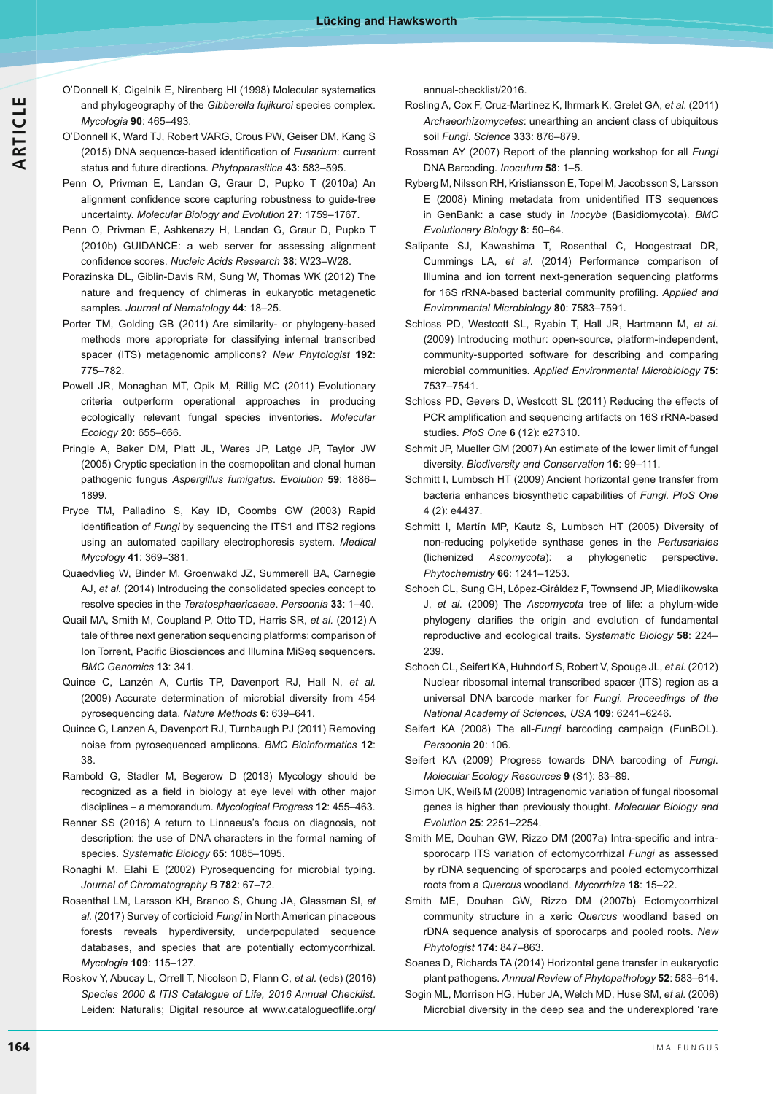- **ARTICLE**
- O'Donnell K, Cigelnik E, Nirenberg HI (1998) Molecular systematics and phylogeography of the *Gibberella fujikuroi* species complex. *Mycologia* **90**: 465–493.
- O'Donnell K, Ward TJ, Robert VARG, Crous PW, Geiser DM, Kang S (2015) DNA sequence-based identification of Fusarium: current status and future directions. *Phytoparasitica* **43**: 583–595.
- Penn O, Privman E, Landan G, Graur D, Pupko T (2010a) An alignment confidence score capturing robustness to guide-tree uncertainty. *Molecular Biology and Evolution* **27**: 1759–1767.
- Penn O, Privman E, Ashkenazy H, Landan G, Graur D, Pupko T (2010b) GUIDANCE: a web server for assessing alignment - -*Nucleic Acids Research* **38**: W23–W28.
- Porazinska DL, Giblin-Davis RM, Sung W, Thomas WK (2012) The nature and frequency of chimeras in eukaryotic metagenetic samples. *Journal of Nematology* **44**: 18–25.
- Porter TM, Golding GB (2011) Are similarity- or phylogeny-based methods more appropriate for classifying internal transcribed spacer (ITS) metagenomic amplicons? *New Phytologist* **192**: 775–782.
- Powell JR, Monaghan MT, Opik M, Rillig MC (2011) Evolutionary criteria outperform operational approaches in producing ecologically relevant fungal species inventories. *Molecular Ecology* **20**: 655–666.
- Pringle A, Baker DM, Platt JL, Wares JP, Latge JP, Taylor JW (2005) Cryptic speciation in the cosmopolitan and clonal human pathogenic fungus *Aspergillus fumigatus*. *Evolution* **59**: 1886– 1899.
- Pryce TM, Palladino S, Kay ID, Coombs GW (2003) Rapid identification of Fungi by sequencing the ITS1 and ITS2 regions using an automated capillary electrophoresis system. *Medical Mycology* **41**: 369–381.
- Quaedvlieg W, Binder M, Groenwakd JZ, Summerell BA, Carnegie AJ, *et al.* (2014) Introducing the consolidated species concept to resolve species in the *Teratosphaericaeae*. *Persoonia* **33**: 1–40.
- Quail MA, Smith M, Coupland P, Otto TD, Harris SR, *et al.* (2012) A tale of three next generation sequencing platforms: comparison of lon Torrent, Pacific Biosciences and Illumina MiSeq sequencers. *BMC Genomics* **13**: 341.
- Quince C, Lanzén A, Curtis TP, Davenport RJ, Hall N, *et al.* (2009) Accurate determination of microbial diversity from 454 pyrosequencing data. *Nature Methods* **6**: 639–641.
- Quince C, Lanzen A, Davenport RJ, Turnbaugh PJ (2011) Removing noise from pyrosequenced amplicons. *BMC Bioinformatics* **12**: 38.
- Rambold G, Stadler M, Begerow D (2013) Mycology should be recognized as a field in biology at eye level with other major disciplines – a memorandum. *Mycological Progress* **12**: 455–463.
- Renner SS (2016) A return to Linnaeus's focus on diagnosis, not description: the use of DNA characters in the formal naming of species. *Systematic Biology* **65**: 1085–1095.
- Ronaghi M, Elahi E (2002) Pyrosequencing for microbial typing. *Journal of Chromatography B* **782**: 67–72.
- Rosenthal LM, Larsson KH, Branco S, Chung JA, Glassman SI, *et al.* (2017) Survey of corticioid *Fungi* in North American pinaceous forests reveals hyperdiversity, underpopulated sequence databases, and species that are potentially ectomycorrhizal. *Mycologia* **109**: 115–127.
- Roskov Y, Abucay L, Orrell T, Nicolson D, Flann C, *et al.* (eds) (2016) Species 2000 & ITIS Catalogue of Life, 2016 Annual Checklist. Leiden: Naturalis; Digital resource at www.catalogueoflife.org/

annual-checklist/2016.

- Rosling A, Cox F, Cruz-Martinez K, Ihrmark K, Grelet GA, *et al.* (2011) *Archaeorhizomycetes*: unearthing an ancient class of ubiquitous soil *Fungi*. *Science* **333**: 876–879.
- Rossman AY (2007) Report of the planning workshop for all *Fungi* DNA Barcoding. *Inoculum* 58: 1-5.
- Ryberg M, Nilsson RH, Kristiansson E, Topel M, Jacobsson S, Larsson E (2008) Mining metadata from unidentified ITS sequences in GenBank: a case study in *Inocybe* (Basidiomycota). *BMC Evolutionary Biology* **8**: 50–64.
- Salipante SJ, Kawashima T, Rosenthal C, Hoogestraat DR, Cummings LA, *et al.* (2014) Performance comparison of Illumina and ion torrent next-generation sequencing platforms for 16S rRNA-based bacterial community profiling. Applied and *Environmental Microbiology* **80**: 7583–7591.
- Schloss PD, Westcott SL, Ryabin T, Hall JR, Hartmann M, *et al.* (2009) Introducing mothur: open-source, platform-independent, community-supported software for describing and comparing microbial communities. *Applied Environmental Microbiology* **75**: 7537–7541.
- Schloss PD, Gevers D, Westcott SL (2011) Reducing the effects of PCR amplification and sequencing artifacts on 16S rRNA-based studies. *PloS One* **6** (12): e27310.
- Schmit JP, Mueller GM (2007) An estimate of the lower limit of fungal diversity. *Biodiversity and Conservation* **16**: 99–111.
- Schmitt I, Lumbsch HT (2009) Ancient horizontal gene transfer from bacteria enhances biosynthetic capabilities of *Fungi*. *PloS One* 4 (2): e4437.
- Schmitt I, Martín MP, Kautz S, Lumbsch HT (2005) Diversity of non-reducing polyketide synthase genes in the *Pertusariales* (lichenized *Ascomycota*): a phylogenetic perspective. *Phytochemistry* **66**: 1241–1253.
- Schoch CL, Sung GH, López-Giráldez F, Townsend JP, Miadlikowska J, *et al.* (2009) The *Ascomycota* tree of life: a phylum-wide phylogeny clarifies the origin and evolution of fundamental reproductive and ecological traits. *Systematic Biology* **58**: 224– 239.
- Schoch CL, Seifert KA, Huhndorf S, Robert V, Spouge JL, *et al.* (2012) Nuclear ribosomal internal transcribed spacer (ITS) region as a universal DNA barcode marker for *Fungi*. *Proceedings of the National Academy of Sciences, USA* **109**: 6241–6246.
- Seifert KA (2008) The all-*Fungi* barcoding campaign (FunBOL). *Persoonia* **20**: 106.
- Seifert KA (2009) Progress towards DNA barcoding of *Fungi*. *Molecular Ecology Resources* **9** (S1): 83–89.
- Simon UK, Weiß M (2008) Intragenomic variation of fungal ribosomal genes is higher than previously thought. *Molecular Biology and Evolution* **25**: 2251–2254.
- Smith ME, Douhan GW, Rizzo DM (2007a) Intra-specific and intrasporocarp ITS variation of ectomycorrhizal *Fungi* as assessed by rDNA sequencing of sporocarps and pooled ectomycorrhizal roots from a *Quercus* woodland. *Mycorrhiza* **18**: 15–22.
- Smith ME, Douhan GW, Rizzo DM (2007b) Ectomycorrhizal community structure in a xeric *Quercus* woodland based on rDNA sequence analysis of sporocarps and pooled roots. *New Phytologist* **174**: 847–863.
- Soanes D, Richards TA (2014) Horizontal gene transfer in eukaryotic plant pathogens. *Annual Review of Phytopathology* **52**: 583–614.
- Sogin ML, Morrison HG, Huber JA, Welch MD, Huse SM, *et al.* (2006) Microbial diversity in the deep sea and the underexplored 'rare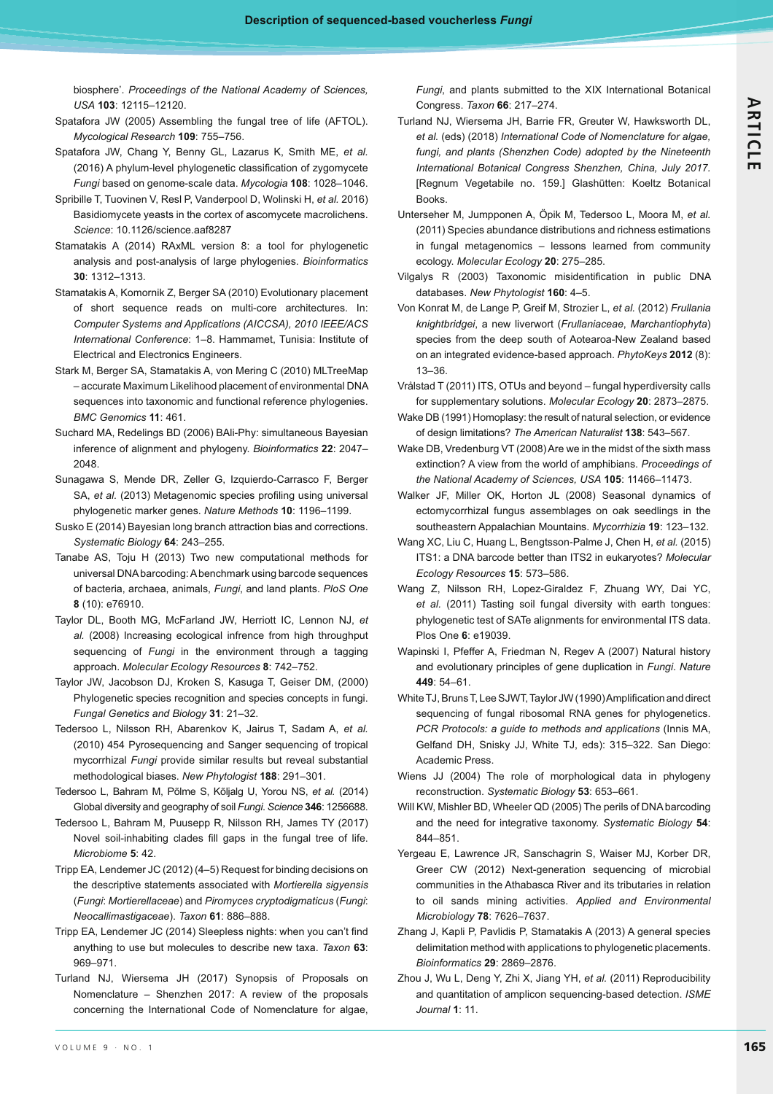biosphere'. *Proceedings of the National Academy of Sciences, USA* **103**: 12115–12120.

- Spatafora JW (2005) Assembling the fungal tree of life (AFTOL). *Mycological Research* **109**: 755–756.
- Spatafora JW, Chang Y, Benny GL, Lazarus K, Smith ME, *et al.* (2016) A phylum-level phylogenetic classification of zygomycete *Fungi* based on genome-scale data. *Mycologia* **108**: 1028–1046.
- Spribille T, Tuovinen V, Resl P, Vanderpool D, Wolinski H, *et al.* 2016) Basidiomycete yeasts in the cortex of ascomycete macrolichens. *Science*: 10.1126/science.aaf8287
- Stamatakis A (2014) RAxML version 8: a tool for phylogenetic analysis and post-analysis of large phylogenies. *Bioinformatics* **30**: 1312–1313.
- Stamatakis A, Komornik Z, Berger SA (2010) Evolutionary placement of short sequence reads on multi-core architectures. In: Computer Systems and Applications (AICCSA), 2010 IEEE/ACS International Conference: 1-8. Hammamet, Tunisia: Institute of Electrical and Electronics Engineers.
- Stark M, Berger SA, Stamatakis A, von Mering C (2010) MLTreeMap – accurate Maximum Likelihood placement of environmental DNA sequences into taxonomic and functional reference phylogenies. *BMC Genomics* **11**: 461.
- Suchard MA, Redelings BD (2006) BAli-Phy: simultaneous Bayesian inference of alignment and phylogeny. *Bioinformatics* **22**: 2047– 2048.
- Sunagawa S, Mende DR, Zeller G, Izquierdo-Carrasco F, Berger SA, et al. (2013) Metagenomic species profiling using universal phylogenetic marker genes. *Nature Methods* **10**: 1196–1199.
- Susko E (2014) Bayesian long branch attraction bias and corrections. *Systematic Biology* **64**: 243–255.
- Tanabe AS, Toju H (2013) Two new computational methods for universal DNA barcoding: A benchmark using barcode sequences of bacteria, archaea, animals, *Fungi*, and land plants. *PloS One* **8** (10): e76910.
- Taylor DL, Booth MG, McFarland JW, Herriott IC, Lennon NJ, *et al.* (2008) Increasing ecological infrence from high throughput sequencing of *Fungi* in the environment through a tagging approach. *Molecular Ecology Resources* **8**: 742–752.
- Taylor JW, Jacobson DJ, Kroken S, Kasuga T, Geiser DM, (2000) Phylogenetic species recognition and species concepts in fungi. *Fungal Genetics and Biology* **31**: 21–32.
- Tedersoo L, Nilsson RH, Abarenkov K, Jairus T, Sadam A, *et al.* (2010) 454 Pyrosequencing and Sanger sequencing of tropical mycorrhizal *Fungi* provide similar results but reveal substantial methodological biases. *New Phytologist* **188**: 291–301.
- Tedersoo L, Bahram M, Põlme S, Kõljalg U, Yorou NS, *et al.* (2014) Global diversity and geography of soil *Fungi*. *Science* **346**: 1256688.
- Tedersoo L, Bahram M, Puusepp R, Nilsson RH, James TY (2017) Novel soil-inhabiting clades fill gaps in the fungal tree of life. *Microbiome* **5**: 42.
- Tripp EA, Lendemer JC (2012) (4–5) Request for binding decisions on the descriptive statements associated with *Mortierella sigyensis* (*Fungi*: *Mortierellaceae*) and *Piromyces cryptodigmaticus* (*Fungi*: *Neocallimastigaceae*). *Taxon* **61**: 886–888.
- Tripp EA, Lendemer JC (2014) Sleepless nights: when you can't find anything to use but molecules to describe new taxa. *Taxon* **63**: 969–971.
- Turland NJ, Wiersema JH (2017) Synopsis of Proposals on Nomenclature – Shenzhen 2017: A review of the proposals concerning the International Code of Nomenclature for algae,

*Fungi*, and plants submitted to the XIX International Botanical Congress. *Taxon* **66**: 217–274.

- Turland NJ, Wiersema JH, Barrie FR, Greuter W, Hawksworth DL, et al. (eds) (2018) International Code of Nomenclature for algae, *fungi, and plants (Shenzhen Code) adopted by the Nineteenth*  International Botanical Congress Shenzhen, China, July 2017. [Regnum Vegetabile no. 159.] Glashütten: Koeltz Botanical Books.
- Unterseher M, Jumpponen A, Öpik M, Tedersoo L, Moora M, *et al.*  (2011) Species abundance distributions and richness estimations in fungal metagenomics – lessons learned from community ecology. *Molecular Ecology* **20**: 275–285.
- Vilgalys R (2003) Taxonomic misidentification in public DNA databases. *New Phytologist* **160**: 4–5.
- Von Konrat M, de Lange P, Greif M, Strozier L, *et al.* (2012) *Frullania knightbridgei*, a new liverwort (*Frullaniaceae*, *Marchantiophyta*) species from the deep south of Aotearoa-New Zealand based on an integrated evidence-based approach. *PhytoKeys* **2012** (8): 13–36.
- Vrålstad T (2011) ITS, OTUs and beyond fungal hyperdiversity calls for supplementary solutions. *Molecular Ecology* **20**: 2873–2875.
- Wake DB (1991) Homoplasy: the result of natural selection, or evidence of design limitations? *The American Naturalist* **138**: 543–567.
- Wake DB, Vredenburg VT (2008) Are we in the midst of the sixth mass extinction? A view from the world of amphibians. *Proceedings of the National Academy of Sciences, USA* **105**: 11466–11473.
- Walker JF, Miller OK, Horton JL (2008) Seasonal dynamics of ectomycorrhizal fungus assemblages on oak seedlings in the southeastern Appalachian Mountains. *Mycorrhizia* **19**: 123–132.
- Wang XC, Liu C, Huang L, Bengtsson-Palme J, Chen H, *et al.* (2015) ITS1: a DNA barcode better than ITS2 in eukaryotes? *Molecular Ecology Resources* **15**: 573–586.
- Wang Z, Nilsson RH, Lopez-Giraldez F, Zhuang WY, Dai YC, *et al.* (2011) Tasting soil fungal diversity with earth tongues: phylogenetic test of SATe alignments for environmental ITS data. Plos One **6**: e19039.
- Wapinski I, Pfeffer A, Friedman N, Regev A (2007) Natural history and evolutionary principles of gene duplication in *Fungi*. *Nature* **449**: 54–61.
- White TJ, Bruns T, Lee SJWT, Taylor JW (1990) Amplification and direct sequencing of fungal ribosomal RNA genes for phylogenetics. *PCR Protocols: a guide to methods and applications* (Innis MA, Gelfand DH, Snisky JJ, White TJ, eds): 315–322. San Diego: Academic Press.
- Wiens JJ (2004) The role of morphological data in phylogeny reconstruction. *Systematic Biology* **53**: 653–661.
- Will KW, Mishler BD, Wheeler QD (2005) The perils of DNA barcoding and the need for integrative taxonomy. *Systematic Biology* **54**: 844–851.
- Yergeau E, Lawrence JR, Sanschagrin S, Waiser MJ, Korber DR, Greer CW (2012) Next-generation sequencing of microbial communities in the Athabasca River and its tributaries in relation to oil sands mining activities. *Applied and Environmental Microbiology* **78**: 7626–7637.
- Zhang J, Kapli P, Pavlidis P, Stamatakis A (2013) A general species delimitation method with applications to phylogenetic placements. *Bioinformatics* **29**: 2869–2876.
- Zhou J, Wu L, Deng Y, Zhi X, Jiang YH, *et al.* (2011) Reproducibility and quantitation of amplicon sequencing-based detection. *ISME Journal* **1**: 11.